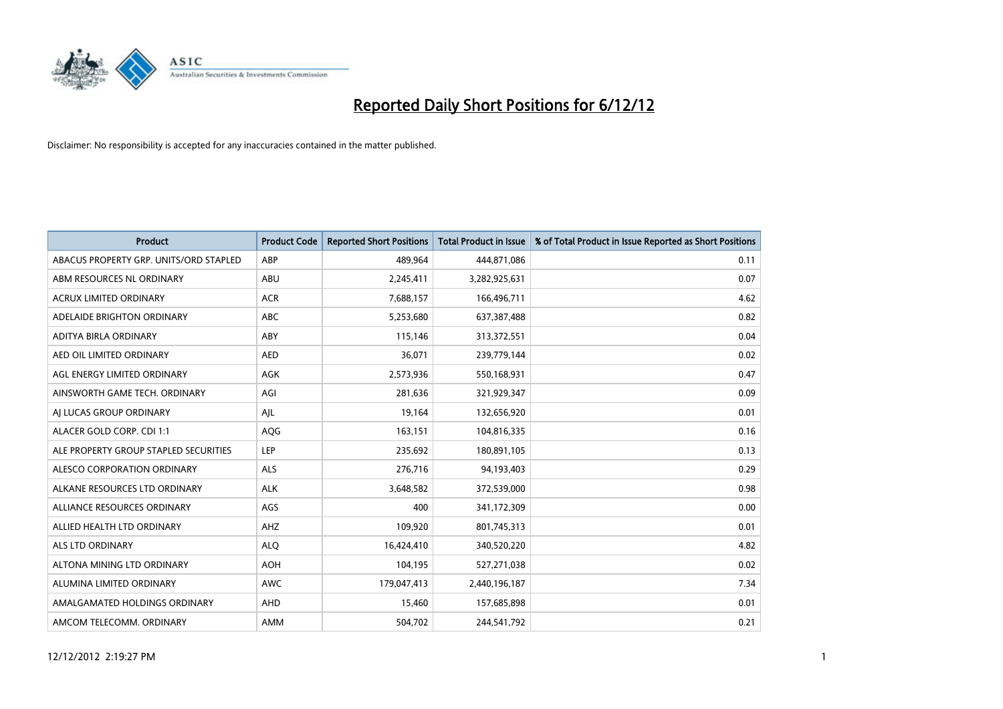

| <b>Product</b>                         | <b>Product Code</b> | <b>Reported Short Positions</b> | <b>Total Product in Issue</b> | % of Total Product in Issue Reported as Short Positions |
|----------------------------------------|---------------------|---------------------------------|-------------------------------|---------------------------------------------------------|
| ABACUS PROPERTY GRP. UNITS/ORD STAPLED | ABP                 | 489.964                         | 444,871,086                   | 0.11                                                    |
| ABM RESOURCES NL ORDINARY              | ABU                 | 2,245,411                       | 3,282,925,631                 | 0.07                                                    |
| <b>ACRUX LIMITED ORDINARY</b>          | <b>ACR</b>          | 7,688,157                       | 166,496,711                   | 4.62                                                    |
| ADELAIDE BRIGHTON ORDINARY             | ABC                 | 5,253,680                       | 637,387,488                   | 0.82                                                    |
| <b>ADITYA BIRLA ORDINARY</b>           | ABY                 | 115,146                         | 313,372,551                   | 0.04                                                    |
| AED OIL LIMITED ORDINARY               | <b>AED</b>          | 36,071                          | 239,779,144                   | 0.02                                                    |
| AGL ENERGY LIMITED ORDINARY            | <b>AGK</b>          | 2,573,936                       | 550,168,931                   | 0.47                                                    |
| AINSWORTH GAME TECH. ORDINARY          | AGI                 | 281,636                         | 321,929,347                   | 0.09                                                    |
| AI LUCAS GROUP ORDINARY                | AIL                 | 19,164                          | 132,656,920                   | 0.01                                                    |
| ALACER GOLD CORP. CDI 1:1              | AQG                 | 163,151                         | 104,816,335                   | 0.16                                                    |
| ALE PROPERTY GROUP STAPLED SECURITIES  | LEP                 | 235,692                         | 180,891,105                   | 0.13                                                    |
| ALESCO CORPORATION ORDINARY            | <b>ALS</b>          | 276,716                         | 94,193,403                    | 0.29                                                    |
| ALKANE RESOURCES LTD ORDINARY          | <b>ALK</b>          | 3,648,582                       | 372,539,000                   | 0.98                                                    |
| ALLIANCE RESOURCES ORDINARY            | AGS                 | 400                             | 341,172,309                   | 0.00                                                    |
| ALLIED HEALTH LTD ORDINARY             | AHZ                 | 109,920                         | 801,745,313                   | 0.01                                                    |
| ALS LTD ORDINARY                       | <b>ALO</b>          | 16,424,410                      | 340,520,220                   | 4.82                                                    |
| ALTONA MINING LTD ORDINARY             | <b>AOH</b>          | 104,195                         | 527,271,038                   | 0.02                                                    |
| ALUMINA LIMITED ORDINARY               | <b>AWC</b>          | 179,047,413                     | 2,440,196,187                 | 7.34                                                    |
| AMALGAMATED HOLDINGS ORDINARY          | AHD                 | 15,460                          | 157,685,898                   | 0.01                                                    |
| AMCOM TELECOMM, ORDINARY               | <b>AMM</b>          | 504.702                         | 244,541,792                   | 0.21                                                    |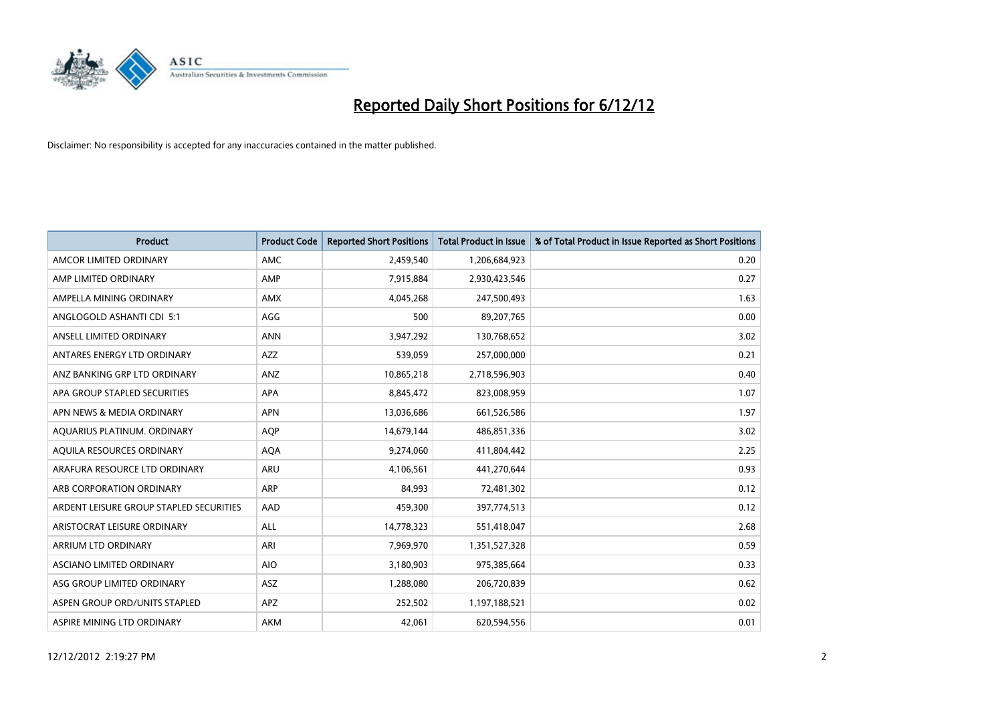

| <b>Product</b>                          | <b>Product Code</b> | <b>Reported Short Positions</b> | <b>Total Product in Issue</b> | % of Total Product in Issue Reported as Short Positions |
|-----------------------------------------|---------------------|---------------------------------|-------------------------------|---------------------------------------------------------|
| AMCOR LIMITED ORDINARY                  | <b>AMC</b>          | 2,459,540                       | 1,206,684,923                 | 0.20                                                    |
| AMP LIMITED ORDINARY                    | AMP                 | 7,915,884                       | 2,930,423,546                 | 0.27                                                    |
| AMPELLA MINING ORDINARY                 | <b>AMX</b>          | 4,045,268                       | 247,500,493                   | 1.63                                                    |
| ANGLOGOLD ASHANTI CDI 5:1               | AGG                 | 500                             | 89,207,765                    | 0.00                                                    |
| ANSELL LIMITED ORDINARY                 | <b>ANN</b>          | 3,947,292                       | 130,768,652                   | 3.02                                                    |
| ANTARES ENERGY LTD ORDINARY             | <b>AZZ</b>          | 539,059                         | 257,000,000                   | 0.21                                                    |
| ANZ BANKING GRP LTD ORDINARY            | <b>ANZ</b>          | 10,865,218                      | 2,718,596,903                 | 0.40                                                    |
| APA GROUP STAPLED SECURITIES            | <b>APA</b>          | 8,845,472                       | 823,008,959                   | 1.07                                                    |
| APN NEWS & MEDIA ORDINARY               | <b>APN</b>          | 13,036,686                      | 661,526,586                   | 1.97                                                    |
| AQUARIUS PLATINUM. ORDINARY             | <b>AOP</b>          | 14,679,144                      | 486,851,336                   | 3.02                                                    |
| AQUILA RESOURCES ORDINARY               | <b>AQA</b>          | 9,274,060                       | 411,804,442                   | 2.25                                                    |
| ARAFURA RESOURCE LTD ORDINARY           | <b>ARU</b>          | 4,106,561                       | 441,270,644                   | 0.93                                                    |
| ARB CORPORATION ORDINARY                | <b>ARP</b>          | 84,993                          | 72,481,302                    | 0.12                                                    |
| ARDENT LEISURE GROUP STAPLED SECURITIES | AAD                 | 459,300                         | 397,774,513                   | 0.12                                                    |
| ARISTOCRAT LEISURE ORDINARY             | <b>ALL</b>          | 14,778,323                      | 551,418,047                   | 2.68                                                    |
| ARRIUM LTD ORDINARY                     | ARI                 | 7,969,970                       | 1,351,527,328                 | 0.59                                                    |
| ASCIANO LIMITED ORDINARY                | <b>AIO</b>          | 3,180,903                       | 975,385,664                   | 0.33                                                    |
| ASG GROUP LIMITED ORDINARY              | <b>ASZ</b>          | 1,288,080                       | 206,720,839                   | 0.62                                                    |
| ASPEN GROUP ORD/UNITS STAPLED           | <b>APZ</b>          | 252,502                         | 1,197,188,521                 | 0.02                                                    |
| ASPIRE MINING LTD ORDINARY              | <b>AKM</b>          | 42,061                          | 620,594,556                   | 0.01                                                    |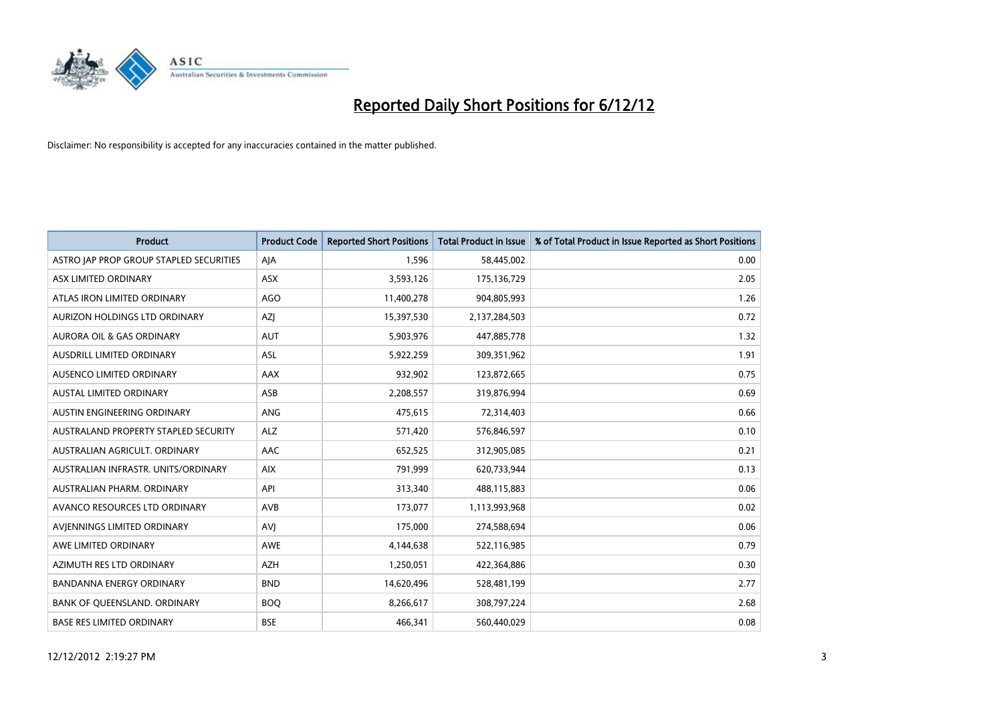

| <b>Product</b>                          | <b>Product Code</b> | <b>Reported Short Positions</b> | <b>Total Product in Issue</b> | % of Total Product in Issue Reported as Short Positions |
|-----------------------------------------|---------------------|---------------------------------|-------------------------------|---------------------------------------------------------|
| ASTRO JAP PROP GROUP STAPLED SECURITIES | AJA                 | 1,596                           | 58,445,002                    | 0.00                                                    |
| ASX LIMITED ORDINARY                    | <b>ASX</b>          | 3,593,126                       | 175,136,729                   | 2.05                                                    |
| ATLAS IRON LIMITED ORDINARY             | <b>AGO</b>          | 11,400,278                      | 904,805,993                   | 1.26                                                    |
| AURIZON HOLDINGS LTD ORDINARY           | <b>AZI</b>          | 15,397,530                      | 2,137,284,503                 | 0.72                                                    |
| <b>AURORA OIL &amp; GAS ORDINARY</b>    | <b>AUT</b>          | 5,903,976                       | 447,885,778                   | 1.32                                                    |
| <b>AUSDRILL LIMITED ORDINARY</b>        | <b>ASL</b>          | 5,922,259                       | 309,351,962                   | 1.91                                                    |
| AUSENCO LIMITED ORDINARY                | AAX                 | 932,902                         | 123,872,665                   | 0.75                                                    |
| AUSTAL LIMITED ORDINARY                 | ASB                 | 2,208,557                       | 319,876,994                   | 0.69                                                    |
| AUSTIN ENGINEERING ORDINARY             | <b>ANG</b>          | 475,615                         | 72,314,403                    | 0.66                                                    |
| AUSTRALAND PROPERTY STAPLED SECURITY    | <b>ALZ</b>          | 571,420                         | 576,846,597                   | 0.10                                                    |
| AUSTRALIAN AGRICULT. ORDINARY           | AAC                 | 652,525                         | 312,905,085                   | 0.21                                                    |
| AUSTRALIAN INFRASTR, UNITS/ORDINARY     | <b>AIX</b>          | 791,999                         | 620,733,944                   | 0.13                                                    |
| AUSTRALIAN PHARM. ORDINARY              | API                 | 313,340                         | 488,115,883                   | 0.06                                                    |
| AVANCO RESOURCES LTD ORDINARY           | AVB                 | 173,077                         | 1,113,993,968                 | 0.02                                                    |
| AVIENNINGS LIMITED ORDINARY             | AVI                 | 175,000                         | 274,588,694                   | 0.06                                                    |
| AWE LIMITED ORDINARY                    | <b>AWE</b>          | 4,144,638                       | 522,116,985                   | 0.79                                                    |
| AZIMUTH RES LTD ORDINARY                | <b>AZH</b>          | 1,250,051                       | 422,364,886                   | 0.30                                                    |
| BANDANNA ENERGY ORDINARY                | <b>BND</b>          | 14,620,496                      | 528,481,199                   | 2.77                                                    |
| BANK OF OUEENSLAND, ORDINARY            | <b>BOQ</b>          | 8,266,617                       | 308,797,224                   | 2.68                                                    |
| <b>BASE RES LIMITED ORDINARY</b>        | <b>BSE</b>          | 466.341                         | 560,440,029                   | 0.08                                                    |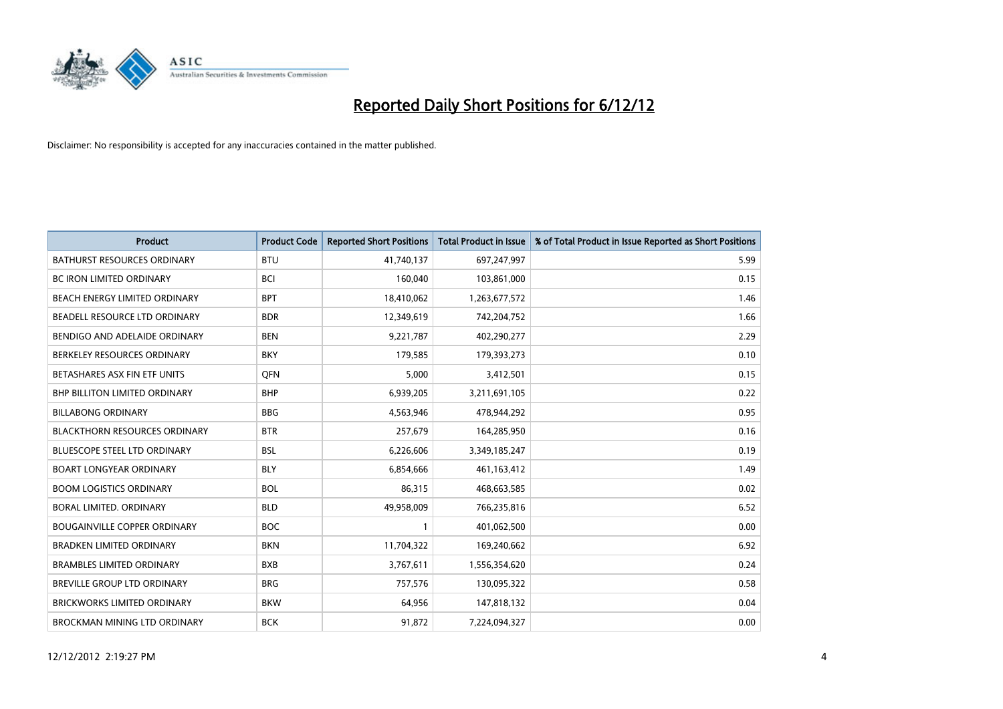

| <b>Product</b>                       | <b>Product Code</b> | <b>Reported Short Positions</b> | <b>Total Product in Issue</b> | % of Total Product in Issue Reported as Short Positions |
|--------------------------------------|---------------------|---------------------------------|-------------------------------|---------------------------------------------------------|
| <b>BATHURST RESOURCES ORDINARY</b>   | <b>BTU</b>          | 41,740,137                      | 697,247,997                   | 5.99                                                    |
| BC IRON LIMITED ORDINARY             | <b>BCI</b>          | 160,040                         | 103,861,000                   | 0.15                                                    |
| <b>BEACH ENERGY LIMITED ORDINARY</b> | <b>BPT</b>          | 18,410,062                      | 1,263,677,572                 | 1.46                                                    |
| BEADELL RESOURCE LTD ORDINARY        | <b>BDR</b>          | 12,349,619                      | 742,204,752                   | 1.66                                                    |
| BENDIGO AND ADELAIDE ORDINARY        | <b>BEN</b>          | 9,221,787                       | 402,290,277                   | 2.29                                                    |
| BERKELEY RESOURCES ORDINARY          | <b>BKY</b>          | 179,585                         | 179,393,273                   | 0.10                                                    |
| BETASHARES ASX FIN ETF UNITS         | <b>OFN</b>          | 5,000                           | 3,412,501                     | 0.15                                                    |
| <b>BHP BILLITON LIMITED ORDINARY</b> | <b>BHP</b>          | 6,939,205                       | 3,211,691,105                 | 0.22                                                    |
| <b>BILLABONG ORDINARY</b>            | <b>BBG</b>          | 4,563,946                       | 478,944,292                   | 0.95                                                    |
| <b>BLACKTHORN RESOURCES ORDINARY</b> | <b>BTR</b>          | 257,679                         | 164,285,950                   | 0.16                                                    |
| <b>BLUESCOPE STEEL LTD ORDINARY</b>  | <b>BSL</b>          | 6,226,606                       | 3,349,185,247                 | 0.19                                                    |
| <b>BOART LONGYEAR ORDINARY</b>       | <b>BLY</b>          | 6,854,666                       | 461,163,412                   | 1.49                                                    |
| <b>BOOM LOGISTICS ORDINARY</b>       | <b>BOL</b>          | 86,315                          | 468,663,585                   | 0.02                                                    |
| <b>BORAL LIMITED, ORDINARY</b>       | <b>BLD</b>          | 49,958,009                      | 766,235,816                   | 6.52                                                    |
| <b>BOUGAINVILLE COPPER ORDINARY</b>  | <b>BOC</b>          | 1                               | 401,062,500                   | 0.00                                                    |
| <b>BRADKEN LIMITED ORDINARY</b>      | <b>BKN</b>          | 11,704,322                      | 169,240,662                   | 6.92                                                    |
| <b>BRAMBLES LIMITED ORDINARY</b>     | <b>BXB</b>          | 3,767,611                       | 1,556,354,620                 | 0.24                                                    |
| BREVILLE GROUP LTD ORDINARY          | <b>BRG</b>          | 757,576                         | 130,095,322                   | 0.58                                                    |
| <b>BRICKWORKS LIMITED ORDINARY</b>   | <b>BKW</b>          | 64,956                          | 147,818,132                   | 0.04                                                    |
| BROCKMAN MINING LTD ORDINARY         | <b>BCK</b>          | 91,872                          | 7.224.094.327                 | 0.00                                                    |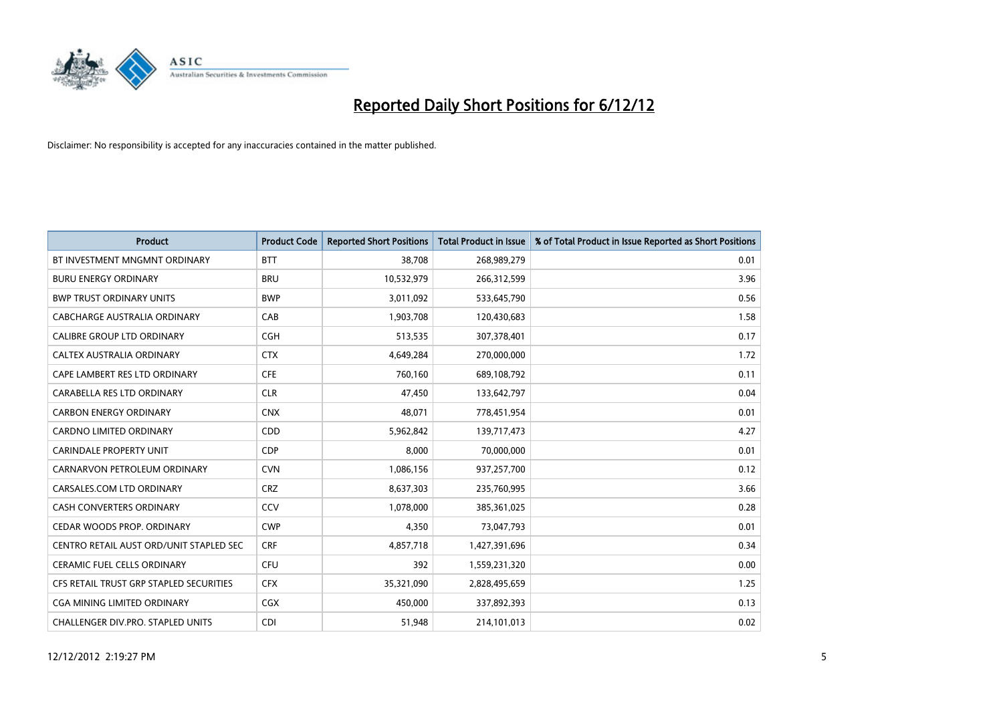

| <b>Product</b>                           | <b>Product Code</b> | <b>Reported Short Positions</b> | <b>Total Product in Issue</b> | % of Total Product in Issue Reported as Short Positions |
|------------------------------------------|---------------------|---------------------------------|-------------------------------|---------------------------------------------------------|
| BT INVESTMENT MNGMNT ORDINARY            | <b>BTT</b>          | 38.708                          | 268,989,279                   | 0.01                                                    |
| <b>BURU ENERGY ORDINARY</b>              | <b>BRU</b>          | 10,532,979                      | 266,312,599                   | 3.96                                                    |
| <b>BWP TRUST ORDINARY UNITS</b>          | <b>BWP</b>          | 3,011,092                       | 533,645,790                   | 0.56                                                    |
| CABCHARGE AUSTRALIA ORDINARY             | CAB                 | 1,903,708                       | 120,430,683                   | 1.58                                                    |
| <b>CALIBRE GROUP LTD ORDINARY</b>        | <b>CGH</b>          | 513,535                         | 307,378,401                   | 0.17                                                    |
| CALTEX AUSTRALIA ORDINARY                | <b>CTX</b>          | 4,649,284                       | 270,000,000                   | 1.72                                                    |
| CAPE LAMBERT RES LTD ORDINARY            | <b>CFE</b>          | 760.160                         | 689,108,792                   | 0.11                                                    |
| CARABELLA RES LTD ORDINARY               | <b>CLR</b>          | 47,450                          | 133,642,797                   | 0.04                                                    |
| <b>CARBON ENERGY ORDINARY</b>            | <b>CNX</b>          | 48.071                          | 778,451,954                   | 0.01                                                    |
| <b>CARDNO LIMITED ORDINARY</b>           | <b>CDD</b>          | 5,962,842                       | 139,717,473                   | 4.27                                                    |
| <b>CARINDALE PROPERTY UNIT</b>           | <b>CDP</b>          | 8,000                           | 70,000,000                    | 0.01                                                    |
| CARNARVON PETROLEUM ORDINARY             | <b>CVN</b>          | 1,086,156                       | 937,257,700                   | 0.12                                                    |
| CARSALES.COM LTD ORDINARY                | <b>CRZ</b>          | 8,637,303                       | 235,760,995                   | 3.66                                                    |
| <b>CASH CONVERTERS ORDINARY</b>          | CCV                 | 1,078,000                       | 385,361,025                   | 0.28                                                    |
| CEDAR WOODS PROP. ORDINARY               | <b>CWP</b>          | 4.350                           | 73,047,793                    | 0.01                                                    |
| CENTRO RETAIL AUST ORD/UNIT STAPLED SEC  | <b>CRF</b>          | 4,857,718                       | 1,427,391,696                 | 0.34                                                    |
| CERAMIC FUEL CELLS ORDINARY              | <b>CFU</b>          | 392                             | 1,559,231,320                 | 0.00                                                    |
| CFS RETAIL TRUST GRP STAPLED SECURITIES  | <b>CFX</b>          | 35,321,090                      | 2,828,495,659                 | 1.25                                                    |
| <b>CGA MINING LIMITED ORDINARY</b>       | CGX                 | 450.000                         | 337,892,393                   | 0.13                                                    |
| <b>CHALLENGER DIV.PRO. STAPLED UNITS</b> | <b>CDI</b>          | 51,948                          | 214,101,013                   | 0.02                                                    |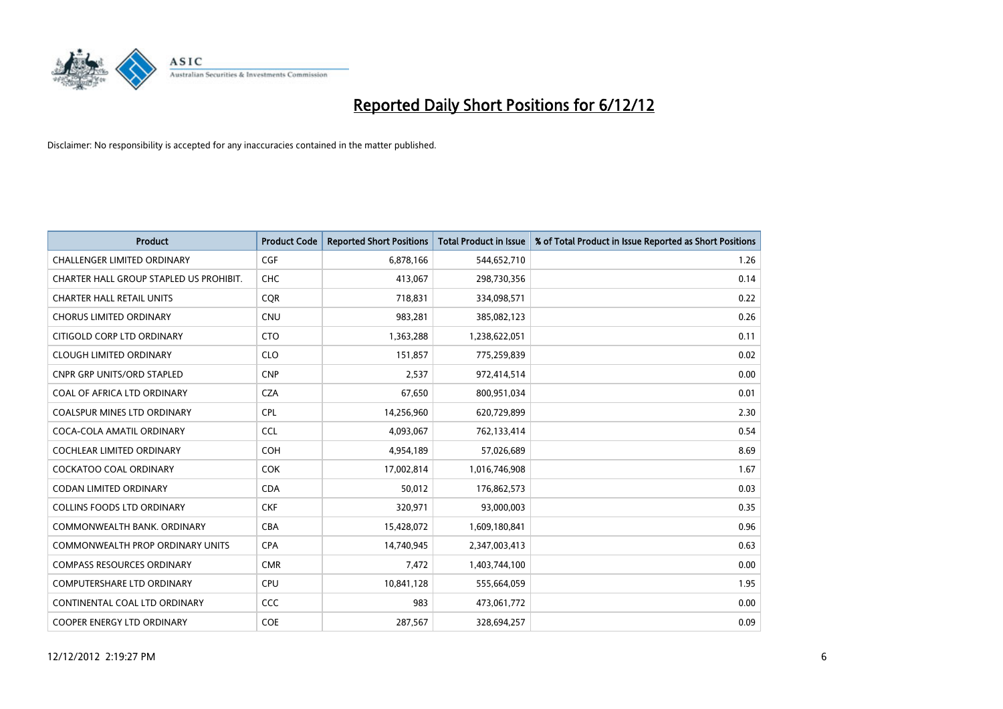

| <b>Product</b>                          | <b>Product Code</b> | <b>Reported Short Positions</b> | <b>Total Product in Issue</b> | % of Total Product in Issue Reported as Short Positions |
|-----------------------------------------|---------------------|---------------------------------|-------------------------------|---------------------------------------------------------|
| <b>CHALLENGER LIMITED ORDINARY</b>      | <b>CGF</b>          | 6,878,166                       | 544,652,710                   | 1.26                                                    |
| CHARTER HALL GROUP STAPLED US PROHIBIT. | <b>CHC</b>          | 413,067                         | 298,730,356                   | 0.14                                                    |
| <b>CHARTER HALL RETAIL UNITS</b>        | <b>COR</b>          | 718,831                         | 334,098,571                   | 0.22                                                    |
| <b>CHORUS LIMITED ORDINARY</b>          | <b>CNU</b>          | 983,281                         | 385,082,123                   | 0.26                                                    |
| CITIGOLD CORP LTD ORDINARY              | <b>CTO</b>          | 1,363,288                       | 1,238,622,051                 | 0.11                                                    |
| <b>CLOUGH LIMITED ORDINARY</b>          | <b>CLO</b>          | 151,857                         | 775,259,839                   | 0.02                                                    |
| <b>CNPR GRP UNITS/ORD STAPLED</b>       | <b>CNP</b>          | 2,537                           | 972,414,514                   | 0.00                                                    |
| COAL OF AFRICA LTD ORDINARY             | <b>CZA</b>          | 67,650                          | 800,951,034                   | 0.01                                                    |
| <b>COALSPUR MINES LTD ORDINARY</b>      | <b>CPL</b>          | 14,256,960                      | 620,729,899                   | 2.30                                                    |
| COCA-COLA AMATIL ORDINARY               | <b>CCL</b>          | 4,093,067                       | 762,133,414                   | 0.54                                                    |
| COCHLEAR LIMITED ORDINARY               | <b>COH</b>          | 4,954,189                       | 57,026,689                    | 8.69                                                    |
| <b>COCKATOO COAL ORDINARY</b>           | <b>COK</b>          | 17,002,814                      | 1,016,746,908                 | 1.67                                                    |
| CODAN LIMITED ORDINARY                  | <b>CDA</b>          | 50,012                          | 176,862,573                   | 0.03                                                    |
| <b>COLLINS FOODS LTD ORDINARY</b>       | <b>CKF</b>          | 320,971                         | 93,000,003                    | 0.35                                                    |
| COMMONWEALTH BANK, ORDINARY             | <b>CBA</b>          | 15,428,072                      | 1,609,180,841                 | 0.96                                                    |
| <b>COMMONWEALTH PROP ORDINARY UNITS</b> | <b>CPA</b>          | 14,740,945                      | 2,347,003,413                 | 0.63                                                    |
| <b>COMPASS RESOURCES ORDINARY</b>       | <b>CMR</b>          | 7,472                           | 1,403,744,100                 | 0.00                                                    |
| COMPUTERSHARE LTD ORDINARY              | <b>CPU</b>          | 10,841,128                      | 555,664,059                   | 1.95                                                    |
| CONTINENTAL COAL LTD ORDINARY           | <b>CCC</b>          | 983                             | 473,061,772                   | 0.00                                                    |
| COOPER ENERGY LTD ORDINARY              | <b>COE</b>          | 287,567                         | 328,694,257                   | 0.09                                                    |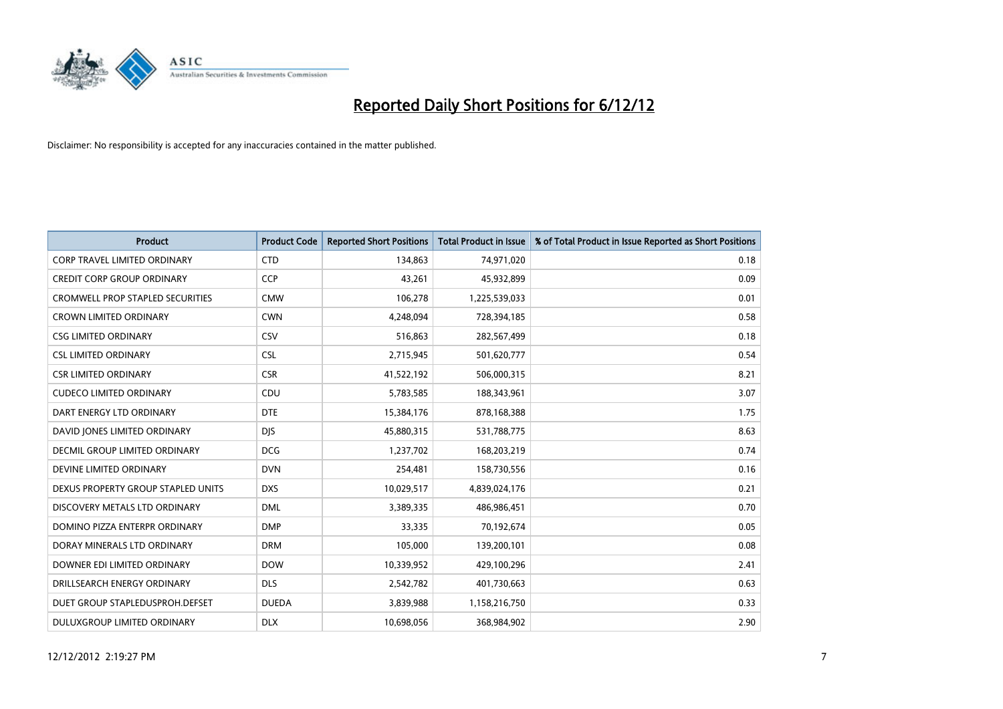

| <b>Product</b>                          | <b>Product Code</b> | <b>Reported Short Positions</b> | <b>Total Product in Issue</b> | % of Total Product in Issue Reported as Short Positions |
|-----------------------------------------|---------------------|---------------------------------|-------------------------------|---------------------------------------------------------|
| <b>CORP TRAVEL LIMITED ORDINARY</b>     | <b>CTD</b>          | 134,863                         | 74,971,020                    | 0.18                                                    |
| <b>CREDIT CORP GROUP ORDINARY</b>       | <b>CCP</b>          | 43,261                          | 45,932,899                    | 0.09                                                    |
| <b>CROMWELL PROP STAPLED SECURITIES</b> | <b>CMW</b>          | 106,278                         | 1,225,539,033                 | 0.01                                                    |
| <b>CROWN LIMITED ORDINARY</b>           | <b>CWN</b>          | 4,248,094                       | 728,394,185                   | 0.58                                                    |
| <b>CSG LIMITED ORDINARY</b>             | CSV                 | 516,863                         | 282,567,499                   | 0.18                                                    |
| <b>CSL LIMITED ORDINARY</b>             | <b>CSL</b>          | 2,715,945                       | 501,620,777                   | 0.54                                                    |
| <b>CSR LIMITED ORDINARY</b>             | <b>CSR</b>          | 41,522,192                      | 506,000,315                   | 8.21                                                    |
| <b>CUDECO LIMITED ORDINARY</b>          | CDU                 | 5,783,585                       | 188,343,961                   | 3.07                                                    |
| DART ENERGY LTD ORDINARY                | <b>DTE</b>          | 15,384,176                      | 878,168,388                   | 1.75                                                    |
| DAVID JONES LIMITED ORDINARY            | <b>DIS</b>          | 45,880,315                      | 531,788,775                   | 8.63                                                    |
| <b>DECMIL GROUP LIMITED ORDINARY</b>    | <b>DCG</b>          | 1,237,702                       | 168,203,219                   | 0.74                                                    |
| DEVINE LIMITED ORDINARY                 | <b>DVN</b>          | 254,481                         | 158,730,556                   | 0.16                                                    |
| DEXUS PROPERTY GROUP STAPLED UNITS      | <b>DXS</b>          | 10,029,517                      | 4,839,024,176                 | 0.21                                                    |
| DISCOVERY METALS LTD ORDINARY           | <b>DML</b>          | 3,389,335                       | 486,986,451                   | 0.70                                                    |
| DOMINO PIZZA ENTERPR ORDINARY           | <b>DMP</b>          | 33,335                          | 70,192,674                    | 0.05                                                    |
| DORAY MINERALS LTD ORDINARY             | <b>DRM</b>          | 105,000                         | 139,200,101                   | 0.08                                                    |
| DOWNER EDI LIMITED ORDINARY             | <b>DOW</b>          | 10,339,952                      | 429,100,296                   | 2.41                                                    |
| DRILLSEARCH ENERGY ORDINARY             | <b>DLS</b>          | 2,542,782                       | 401,730,663                   | 0.63                                                    |
| DUET GROUP STAPLEDUSPROH.DEFSET         | <b>DUEDA</b>        | 3,839,988                       | 1,158,216,750                 | 0.33                                                    |
| DULUXGROUP LIMITED ORDINARY             | <b>DLX</b>          | 10,698,056                      | 368,984,902                   | 2.90                                                    |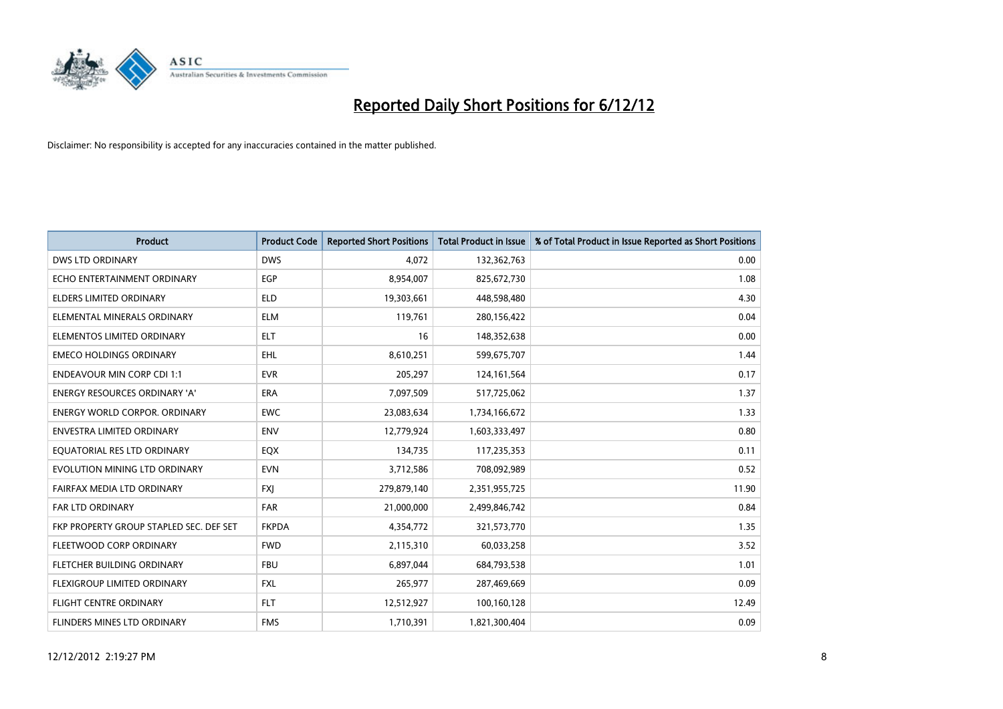

| <b>Product</b>                          | <b>Product Code</b> | <b>Reported Short Positions</b> | <b>Total Product in Issue</b> | % of Total Product in Issue Reported as Short Positions |
|-----------------------------------------|---------------------|---------------------------------|-------------------------------|---------------------------------------------------------|
| <b>DWS LTD ORDINARY</b>                 | <b>DWS</b>          | 4.072                           | 132,362,763                   | 0.00                                                    |
| ECHO ENTERTAINMENT ORDINARY             | <b>EGP</b>          | 8,954,007                       | 825,672,730                   | 1.08                                                    |
| <b>ELDERS LIMITED ORDINARY</b>          | <b>ELD</b>          | 19,303,661                      | 448,598,480                   | 4.30                                                    |
| ELEMENTAL MINERALS ORDINARY             | <b>ELM</b>          | 119,761                         | 280,156,422                   | 0.04                                                    |
| ELEMENTOS LIMITED ORDINARY              | <b>ELT</b>          | 16                              | 148,352,638                   | 0.00                                                    |
| <b>EMECO HOLDINGS ORDINARY</b>          | EHL                 | 8,610,251                       | 599,675,707                   | 1.44                                                    |
| <b>ENDEAVOUR MIN CORP CDI 1:1</b>       | <b>EVR</b>          | 205,297                         | 124, 161, 564                 | 0.17                                                    |
| <b>ENERGY RESOURCES ORDINARY 'A'</b>    | <b>ERA</b>          | 7,097,509                       | 517,725,062                   | 1.37                                                    |
| <b>ENERGY WORLD CORPOR. ORDINARY</b>    | <b>EWC</b>          | 23,083,634                      | 1,734,166,672                 | 1.33                                                    |
| <b>ENVESTRA LIMITED ORDINARY</b>        | <b>ENV</b>          | 12,779,924                      | 1,603,333,497                 | 0.80                                                    |
| EQUATORIAL RES LTD ORDINARY             | EQX                 | 134,735                         | 117,235,353                   | 0.11                                                    |
| EVOLUTION MINING LTD ORDINARY           | <b>EVN</b>          | 3,712,586                       | 708,092,989                   | 0.52                                                    |
| FAIRFAX MEDIA LTD ORDINARY              | <b>FXI</b>          | 279,879,140                     | 2,351,955,725                 | 11.90                                                   |
| <b>FAR LTD ORDINARY</b>                 | <b>FAR</b>          | 21,000,000                      | 2,499,846,742                 | 0.84                                                    |
| FKP PROPERTY GROUP STAPLED SEC. DEF SET | <b>FKPDA</b>        | 4,354,772                       | 321,573,770                   | 1.35                                                    |
| FLEETWOOD CORP ORDINARY                 | <b>FWD</b>          | 2,115,310                       | 60,033,258                    | 3.52                                                    |
| FLETCHER BUILDING ORDINARY              | <b>FBU</b>          | 6,897,044                       | 684,793,538                   | 1.01                                                    |
| FLEXIGROUP LIMITED ORDINARY             | <b>FXL</b>          | 265,977                         | 287,469,669                   | 0.09                                                    |
| FLIGHT CENTRE ORDINARY                  | <b>FLT</b>          | 12,512,927                      | 100,160,128                   | 12.49                                                   |
| FLINDERS MINES LTD ORDINARY             | <b>FMS</b>          | 1,710,391                       | 1,821,300,404                 | 0.09                                                    |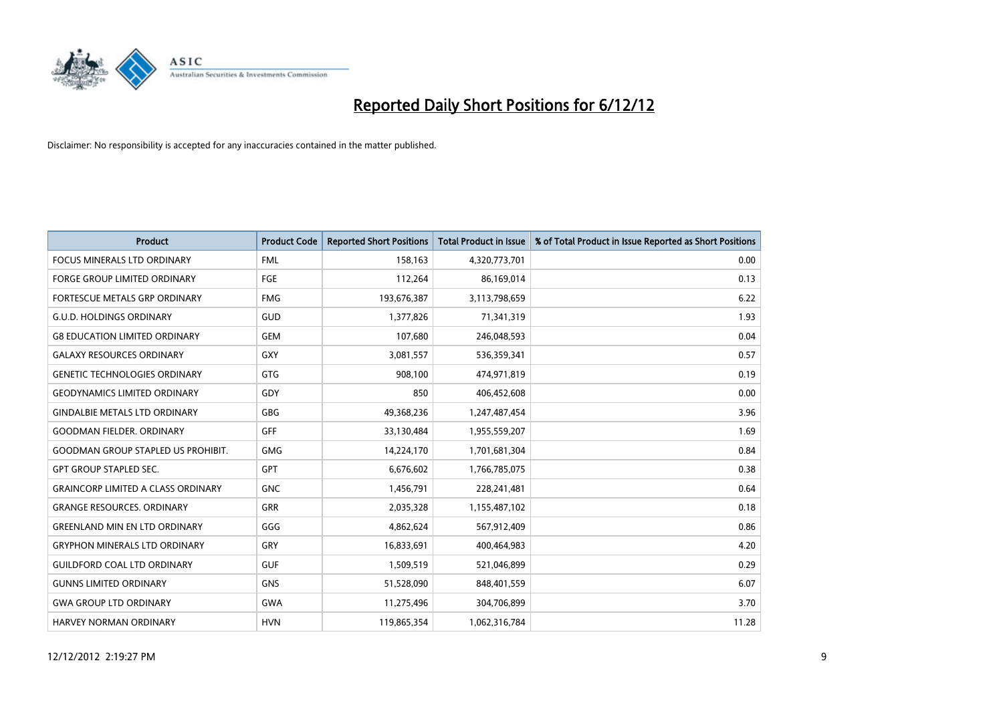

| <b>Product</b>                            | <b>Product Code</b> | <b>Reported Short Positions</b> | <b>Total Product in Issue</b> | % of Total Product in Issue Reported as Short Positions |
|-------------------------------------------|---------------------|---------------------------------|-------------------------------|---------------------------------------------------------|
| <b>FOCUS MINERALS LTD ORDINARY</b>        | <b>FML</b>          | 158,163                         | 4,320,773,701                 | 0.00                                                    |
| FORGE GROUP LIMITED ORDINARY              | FGE                 | 112,264                         | 86,169,014                    | 0.13                                                    |
| FORTESCUE METALS GRP ORDINARY             | <b>FMG</b>          | 193,676,387                     | 3,113,798,659                 | 6.22                                                    |
| <b>G.U.D. HOLDINGS ORDINARY</b>           | GUD                 | 1,377,826                       | 71,341,319                    | 1.93                                                    |
| <b>G8 EDUCATION LIMITED ORDINARY</b>      | <b>GEM</b>          | 107,680                         | 246,048,593                   | 0.04                                                    |
| <b>GALAXY RESOURCES ORDINARY</b>          | <b>GXY</b>          | 3,081,557                       | 536,359,341                   | 0.57                                                    |
| <b>GENETIC TECHNOLOGIES ORDINARY</b>      | <b>GTG</b>          | 908.100                         | 474,971,819                   | 0.19                                                    |
| <b>GEODYNAMICS LIMITED ORDINARY</b>       | GDY                 | 850                             | 406,452,608                   | 0.00                                                    |
| <b>GINDALBIE METALS LTD ORDINARY</b>      | <b>GBG</b>          | 49,368,236                      | 1,247,487,454                 | 3.96                                                    |
| <b>GOODMAN FIELDER, ORDINARY</b>          | GFF                 | 33,130,484                      | 1,955,559,207                 | 1.69                                                    |
| <b>GOODMAN GROUP STAPLED US PROHIBIT.</b> | <b>GMG</b>          | 14,224,170                      | 1,701,681,304                 | 0.84                                                    |
| <b>GPT GROUP STAPLED SEC.</b>             | <b>GPT</b>          | 6,676,602                       | 1,766,785,075                 | 0.38                                                    |
| <b>GRAINCORP LIMITED A CLASS ORDINARY</b> | <b>GNC</b>          | 1,456,791                       | 228,241,481                   | 0.64                                                    |
| <b>GRANGE RESOURCES, ORDINARY</b>         | <b>GRR</b>          | 2,035,328                       | 1,155,487,102                 | 0.18                                                    |
| <b>GREENLAND MIN EN LTD ORDINARY</b>      | GGG                 | 4,862,624                       | 567,912,409                   | 0.86                                                    |
| <b>GRYPHON MINERALS LTD ORDINARY</b>      | GRY                 | 16,833,691                      | 400,464,983                   | 4.20                                                    |
| <b>GUILDFORD COAL LTD ORDINARY</b>        | <b>GUF</b>          | 1,509,519                       | 521,046,899                   | 0.29                                                    |
| <b>GUNNS LIMITED ORDINARY</b>             | <b>GNS</b>          | 51,528,090                      | 848,401,559                   | 6.07                                                    |
| <b>GWA GROUP LTD ORDINARY</b>             | <b>GWA</b>          | 11,275,496                      | 304,706,899                   | 3.70                                                    |
| <b>HARVEY NORMAN ORDINARY</b>             | <b>HVN</b>          | 119,865,354                     | 1,062,316,784                 | 11.28                                                   |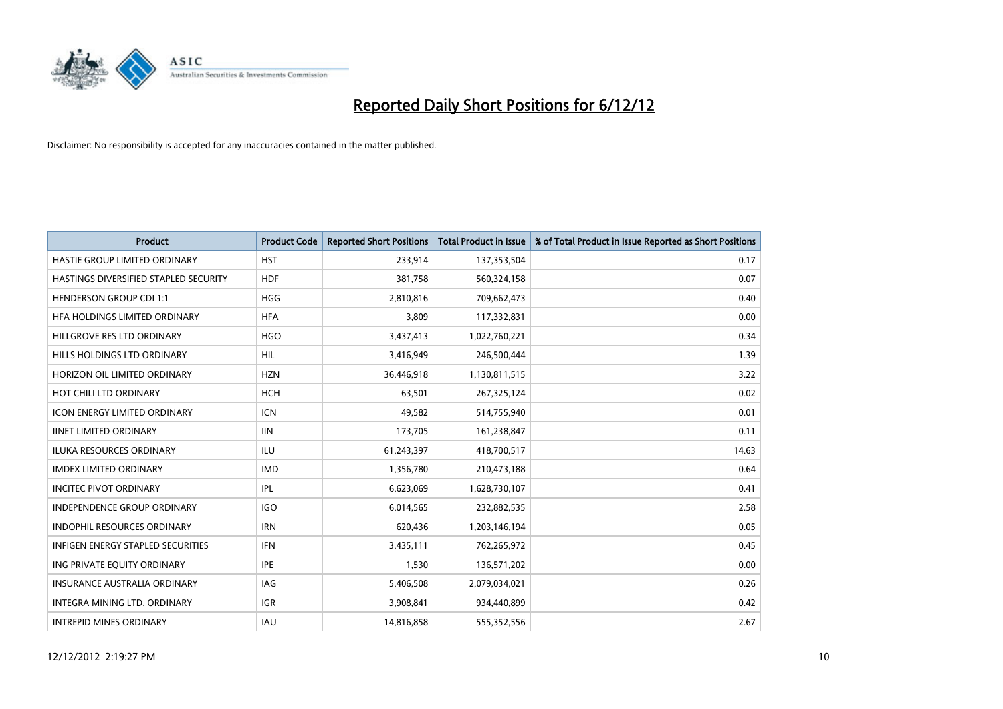

| <b>Product</b>                        | <b>Product Code</b> | <b>Reported Short Positions</b> | <b>Total Product in Issue</b> | % of Total Product in Issue Reported as Short Positions |
|---------------------------------------|---------------------|---------------------------------|-------------------------------|---------------------------------------------------------|
| HASTIE GROUP LIMITED ORDINARY         | <b>HST</b>          | 233,914                         | 137,353,504                   | 0.17                                                    |
| HASTINGS DIVERSIFIED STAPLED SECURITY | <b>HDF</b>          | 381,758                         | 560,324,158                   | 0.07                                                    |
| <b>HENDERSON GROUP CDI 1:1</b>        | <b>HGG</b>          | 2,810,816                       | 709,662,473                   | 0.40                                                    |
| HFA HOLDINGS LIMITED ORDINARY         | <b>HFA</b>          | 3,809                           | 117,332,831                   | 0.00                                                    |
| HILLGROVE RES LTD ORDINARY            | <b>HGO</b>          | 3,437,413                       | 1,022,760,221                 | 0.34                                                    |
| HILLS HOLDINGS LTD ORDINARY           | <b>HIL</b>          | 3,416,949                       | 246,500,444                   | 1.39                                                    |
| HORIZON OIL LIMITED ORDINARY          | <b>HZN</b>          | 36,446,918                      | 1,130,811,515                 | 3.22                                                    |
| HOT CHILI LTD ORDINARY                | <b>HCH</b>          | 63,501                          | 267,325,124                   | 0.02                                                    |
| ICON ENERGY LIMITED ORDINARY          | <b>ICN</b>          | 49,582                          | 514,755,940                   | 0.01                                                    |
| <b>IINET LIMITED ORDINARY</b>         | <b>IIN</b>          | 173,705                         | 161,238,847                   | 0.11                                                    |
| ILUKA RESOURCES ORDINARY              | ILU                 | 61,243,397                      | 418,700,517                   | 14.63                                                   |
| <b>IMDEX LIMITED ORDINARY</b>         | <b>IMD</b>          | 1,356,780                       | 210,473,188                   | 0.64                                                    |
| <b>INCITEC PIVOT ORDINARY</b>         | IPL                 | 6,623,069                       | 1,628,730,107                 | 0.41                                                    |
| <b>INDEPENDENCE GROUP ORDINARY</b>    | <b>IGO</b>          | 6,014,565                       | 232,882,535                   | 2.58                                                    |
| <b>INDOPHIL RESOURCES ORDINARY</b>    | <b>IRN</b>          | 620,436                         | 1,203,146,194                 | 0.05                                                    |
| INFIGEN ENERGY STAPLED SECURITIES     | <b>IFN</b>          | 3,435,111                       | 762,265,972                   | 0.45                                                    |
| ING PRIVATE EQUITY ORDINARY           | <b>IPE</b>          | 1,530                           | 136,571,202                   | 0.00                                                    |
| <b>INSURANCE AUSTRALIA ORDINARY</b>   | IAG                 | 5,406,508                       | 2,079,034,021                 | 0.26                                                    |
| <b>INTEGRA MINING LTD, ORDINARY</b>   | <b>IGR</b>          | 3,908,841                       | 934,440,899                   | 0.42                                                    |
| <b>INTREPID MINES ORDINARY</b>        | <b>IAU</b>          | 14,816,858                      | 555,352,556                   | 2.67                                                    |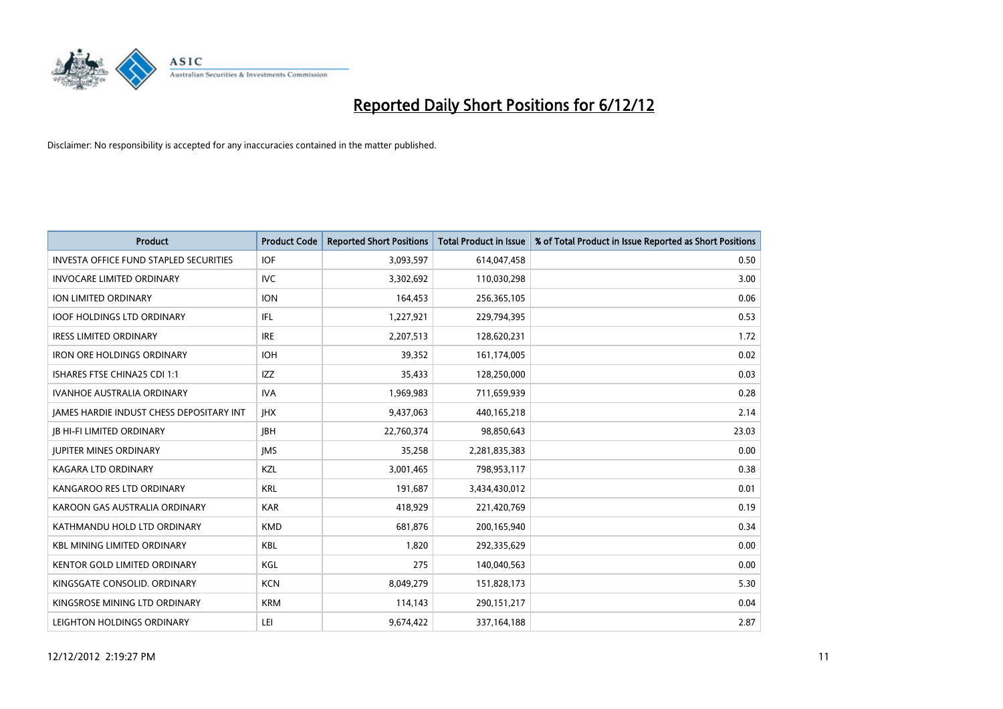

| <b>Product</b>                                  | <b>Product Code</b> | <b>Reported Short Positions</b> | <b>Total Product in Issue</b> | % of Total Product in Issue Reported as Short Positions |
|-------------------------------------------------|---------------------|---------------------------------|-------------------------------|---------------------------------------------------------|
| <b>INVESTA OFFICE FUND STAPLED SECURITIES</b>   | <b>IOF</b>          | 3,093,597                       | 614,047,458                   | 0.50                                                    |
| <b>INVOCARE LIMITED ORDINARY</b>                | IVC                 | 3,302,692                       | 110,030,298                   | 3.00                                                    |
| ION LIMITED ORDINARY                            | <b>ION</b>          | 164,453                         | 256,365,105                   | 0.06                                                    |
| <b>IOOF HOLDINGS LTD ORDINARY</b>               | IFL                 | 1,227,921                       | 229,794,395                   | 0.53                                                    |
| <b>IRESS LIMITED ORDINARY</b>                   | <b>IRE</b>          | 2,207,513                       | 128,620,231                   | 1.72                                                    |
| <b>IRON ORE HOLDINGS ORDINARY</b>               | <b>IOH</b>          | 39,352                          | 161,174,005                   | 0.02                                                    |
| ISHARES FTSE CHINA25 CDI 1:1                    | IZZ                 | 35,433                          | 128,250,000                   | 0.03                                                    |
| <b>IVANHOE AUSTRALIA ORDINARY</b>               | <b>IVA</b>          | 1,969,983                       | 711,659,939                   | 0.28                                                    |
| <b>JAMES HARDIE INDUST CHESS DEPOSITARY INT</b> | <b>IHX</b>          | 9,437,063                       | 440,165,218                   | 2.14                                                    |
| <b>IB HI-FI LIMITED ORDINARY</b>                | <b>IBH</b>          | 22,760,374                      | 98,850,643                    | 23.03                                                   |
| <b>JUPITER MINES ORDINARY</b>                   | <b>IMS</b>          | 35,258                          | 2,281,835,383                 | 0.00                                                    |
| KAGARA LTD ORDINARY                             | KZL                 | 3,001,465                       | 798,953,117                   | 0.38                                                    |
| KANGAROO RES LTD ORDINARY                       | <b>KRL</b>          | 191,687                         | 3,434,430,012                 | 0.01                                                    |
| KAROON GAS AUSTRALIA ORDINARY                   | <b>KAR</b>          | 418,929                         | 221,420,769                   | 0.19                                                    |
| KATHMANDU HOLD LTD ORDINARY                     | <b>KMD</b>          | 681,876                         | 200,165,940                   | 0.34                                                    |
| <b>KBL MINING LIMITED ORDINARY</b>              | <b>KBL</b>          | 1.820                           | 292,335,629                   | 0.00                                                    |
| <b>KENTOR GOLD LIMITED ORDINARY</b>             | KGL                 | 275                             | 140,040,563                   | 0.00                                                    |
| KINGSGATE CONSOLID. ORDINARY                    | <b>KCN</b>          | 8,049,279                       | 151,828,173                   | 5.30                                                    |
| KINGSROSE MINING LTD ORDINARY                   | <b>KRM</b>          | 114,143                         | 290,151,217                   | 0.04                                                    |
| LEIGHTON HOLDINGS ORDINARY                      | LEI                 | 9,674,422                       | 337, 164, 188                 | 2.87                                                    |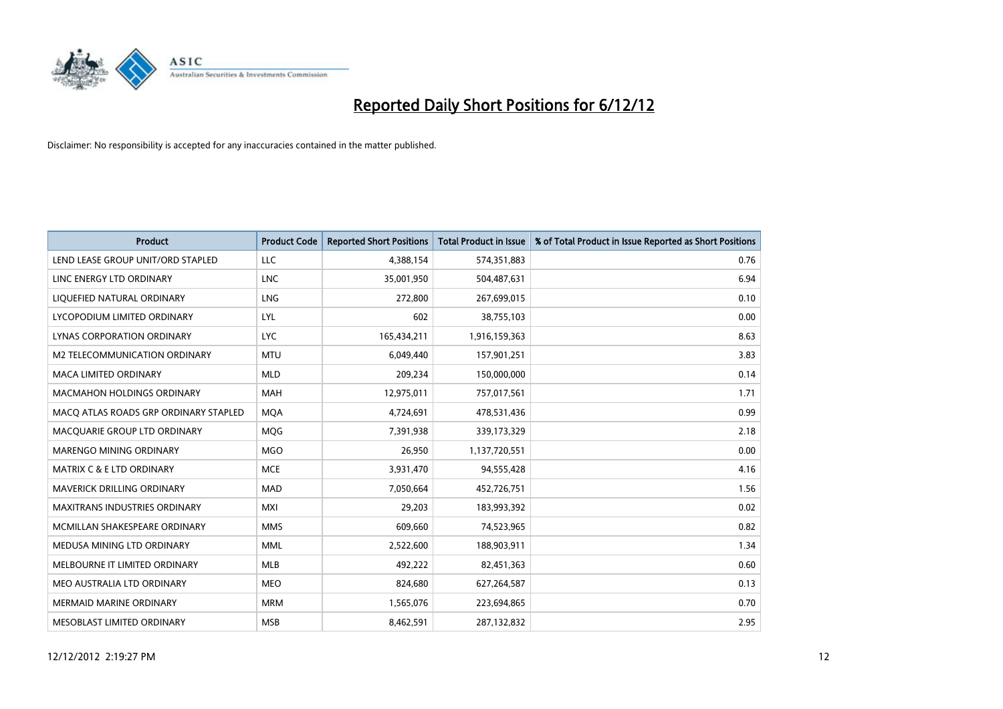

| <b>Product</b>                        | <b>Product Code</b> | <b>Reported Short Positions</b> | <b>Total Product in Issue</b> | % of Total Product in Issue Reported as Short Positions |
|---------------------------------------|---------------------|---------------------------------|-------------------------------|---------------------------------------------------------|
| LEND LEASE GROUP UNIT/ORD STAPLED     | <b>LLC</b>          | 4,388,154                       | 574,351,883                   | 0.76                                                    |
| LINC ENERGY LTD ORDINARY              | <b>LNC</b>          | 35,001,950                      | 504,487,631                   | 6.94                                                    |
| LIQUEFIED NATURAL ORDINARY            | <b>LNG</b>          | 272,800                         | 267,699,015                   | 0.10                                                    |
| LYCOPODIUM LIMITED ORDINARY           | LYL                 | 602                             | 38,755,103                    | 0.00                                                    |
| <b>LYNAS CORPORATION ORDINARY</b>     | <b>LYC</b>          | 165,434,211                     | 1,916,159,363                 | 8.63                                                    |
| M2 TELECOMMUNICATION ORDINARY         | <b>MTU</b>          | 6,049,440                       | 157,901,251                   | 3.83                                                    |
| <b>MACA LIMITED ORDINARY</b>          | <b>MLD</b>          | 209,234                         | 150,000,000                   | 0.14                                                    |
| <b>MACMAHON HOLDINGS ORDINARY</b>     | <b>MAH</b>          | 12,975,011                      | 757,017,561                   | 1.71                                                    |
| MACQ ATLAS ROADS GRP ORDINARY STAPLED | <b>MQA</b>          | 4,724,691                       | 478,531,436                   | 0.99                                                    |
| MACOUARIE GROUP LTD ORDINARY          | <b>MOG</b>          | 7,391,938                       | 339,173,329                   | 2.18                                                    |
| MARENGO MINING ORDINARY               | <b>MGO</b>          | 26,950                          | 1,137,720,551                 | 0.00                                                    |
| MATRIX C & E LTD ORDINARY             | <b>MCE</b>          | 3,931,470                       | 94,555,428                    | 4.16                                                    |
| MAVERICK DRILLING ORDINARY            | <b>MAD</b>          | 7,050,664                       | 452,726,751                   | 1.56                                                    |
| <b>MAXITRANS INDUSTRIES ORDINARY</b>  | <b>MXI</b>          | 29,203                          | 183,993,392                   | 0.02                                                    |
| MCMILLAN SHAKESPEARE ORDINARY         | <b>MMS</b>          | 609,660                         | 74,523,965                    | 0.82                                                    |
| MEDUSA MINING LTD ORDINARY            | <b>MML</b>          | 2,522,600                       | 188,903,911                   | 1.34                                                    |
| MELBOURNE IT LIMITED ORDINARY         | <b>MLB</b>          | 492,222                         | 82,451,363                    | 0.60                                                    |
| MEO AUSTRALIA LTD ORDINARY            | <b>MEO</b>          | 824,680                         | 627,264,587                   | 0.13                                                    |
| <b>MERMAID MARINE ORDINARY</b>        | <b>MRM</b>          | 1,565,076                       | 223,694,865                   | 0.70                                                    |
| MESOBLAST LIMITED ORDINARY            | <b>MSB</b>          | 8,462,591                       | 287,132,832                   | 2.95                                                    |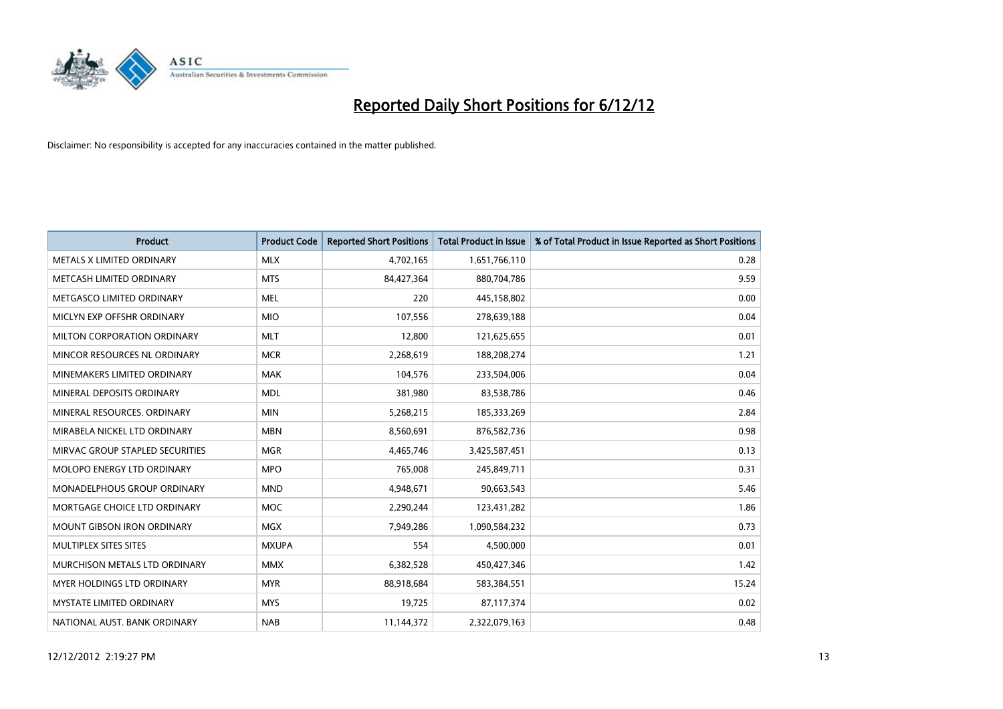

| <b>Product</b>                       | <b>Product Code</b> | <b>Reported Short Positions</b> | <b>Total Product in Issue</b> | % of Total Product in Issue Reported as Short Positions |
|--------------------------------------|---------------------|---------------------------------|-------------------------------|---------------------------------------------------------|
| METALS X LIMITED ORDINARY            | <b>MLX</b>          | 4,702,165                       | 1,651,766,110                 | 0.28                                                    |
| METCASH LIMITED ORDINARY             | <b>MTS</b>          | 84,427,364                      | 880,704,786                   | 9.59                                                    |
| METGASCO LIMITED ORDINARY            | <b>MEL</b>          | 220                             | 445,158,802                   | 0.00                                                    |
| MICLYN EXP OFFSHR ORDINARY           | <b>MIO</b>          | 107,556                         | 278,639,188                   | 0.04                                                    |
| MILTON CORPORATION ORDINARY          | <b>MLT</b>          | 12,800                          | 121,625,655                   | 0.01                                                    |
| MINCOR RESOURCES NL ORDINARY         | <b>MCR</b>          | 2,268,619                       | 188,208,274                   | 1.21                                                    |
| MINEMAKERS LIMITED ORDINARY          | <b>MAK</b>          | 104,576                         | 233,504,006                   | 0.04                                                    |
| MINERAL DEPOSITS ORDINARY            | <b>MDL</b>          | 381,980                         | 83,538,786                    | 0.46                                                    |
| MINERAL RESOURCES. ORDINARY          | <b>MIN</b>          | 5,268,215                       | 185,333,269                   | 2.84                                                    |
| MIRABELA NICKEL LTD ORDINARY         | <b>MBN</b>          | 8,560,691                       | 876,582,736                   | 0.98                                                    |
| MIRVAC GROUP STAPLED SECURITIES      | <b>MGR</b>          | 4,465,746                       | 3,425,587,451                 | 0.13                                                    |
| <b>MOLOPO ENERGY LTD ORDINARY</b>    | <b>MPO</b>          | 765,008                         | 245,849,711                   | 0.31                                                    |
| <b>MONADELPHOUS GROUP ORDINARY</b>   | <b>MND</b>          | 4,948,671                       | 90,663,543                    | 5.46                                                    |
| MORTGAGE CHOICE LTD ORDINARY         | <b>MOC</b>          | 2,290,244                       | 123,431,282                   | 1.86                                                    |
| <b>MOUNT GIBSON IRON ORDINARY</b>    | <b>MGX</b>          | 7,949,286                       | 1,090,584,232                 | 0.73                                                    |
| MULTIPLEX SITES SITES                | <b>MXUPA</b>        | 554                             | 4,500,000                     | 0.01                                                    |
| <b>MURCHISON METALS LTD ORDINARY</b> | <b>MMX</b>          | 6,382,528                       | 450,427,346                   | 1.42                                                    |
| <b>MYER HOLDINGS LTD ORDINARY</b>    | <b>MYR</b>          | 88,918,684                      | 583,384,551                   | 15.24                                                   |
| <b>MYSTATE LIMITED ORDINARY</b>      | <b>MYS</b>          | 19,725                          | 87,117,374                    | 0.02                                                    |
| NATIONAL AUST. BANK ORDINARY         | <b>NAB</b>          | 11,144,372                      | 2,322,079,163                 | 0.48                                                    |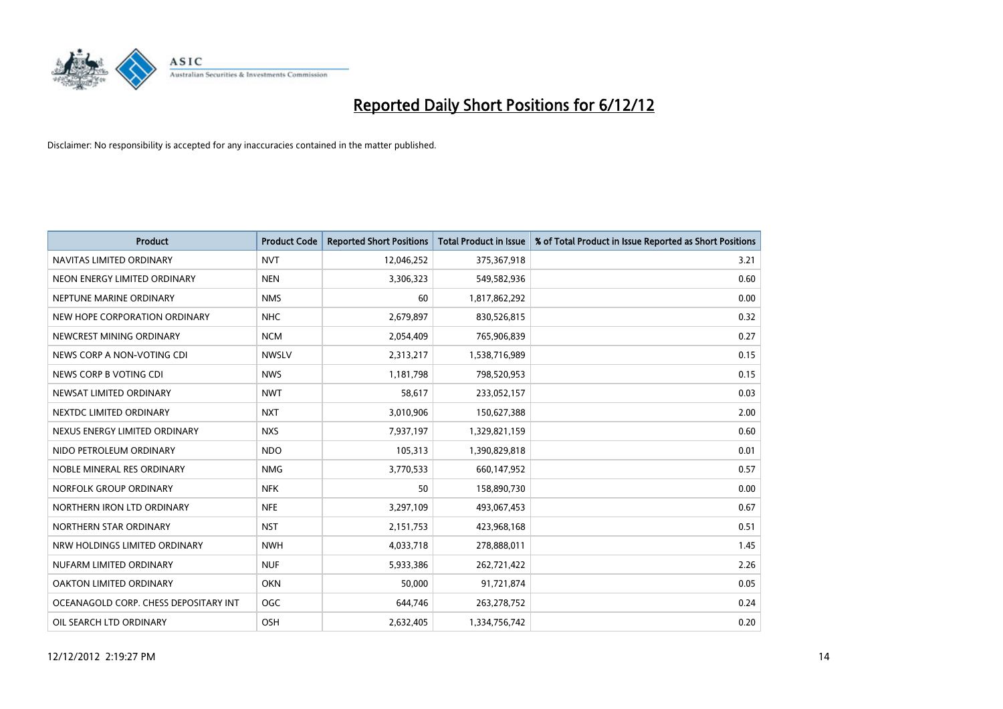

| <b>Product</b>                        | <b>Product Code</b> | <b>Reported Short Positions</b> | <b>Total Product in Issue</b> | % of Total Product in Issue Reported as Short Positions |
|---------------------------------------|---------------------|---------------------------------|-------------------------------|---------------------------------------------------------|
| NAVITAS LIMITED ORDINARY              | <b>NVT</b>          | 12,046,252                      | 375,367,918                   | 3.21                                                    |
| NEON ENERGY LIMITED ORDINARY          | <b>NEN</b>          | 3,306,323                       | 549,582,936                   | 0.60                                                    |
| NEPTUNE MARINE ORDINARY               | <b>NMS</b>          | 60                              | 1,817,862,292                 | 0.00                                                    |
| NEW HOPE CORPORATION ORDINARY         | <b>NHC</b>          | 2,679,897                       | 830,526,815                   | 0.32                                                    |
| NEWCREST MINING ORDINARY              | <b>NCM</b>          | 2,054,409                       | 765,906,839                   | 0.27                                                    |
| NEWS CORP A NON-VOTING CDI            | <b>NWSLV</b>        | 2,313,217                       | 1,538,716,989                 | 0.15                                                    |
| NEWS CORP B VOTING CDI                | <b>NWS</b>          | 1.181.798                       | 798,520,953                   | 0.15                                                    |
| NEWSAT LIMITED ORDINARY               | <b>NWT</b>          | 58,617                          | 233,052,157                   | 0.03                                                    |
| NEXTDC LIMITED ORDINARY               | <b>NXT</b>          | 3,010,906                       | 150,627,388                   | 2.00                                                    |
| NEXUS ENERGY LIMITED ORDINARY         | <b>NXS</b>          | 7,937,197                       | 1,329,821,159                 | 0.60                                                    |
| NIDO PETROLEUM ORDINARY               | <b>NDO</b>          | 105,313                         | 1,390,829,818                 | 0.01                                                    |
| NOBLE MINERAL RES ORDINARY            | <b>NMG</b>          | 3,770,533                       | 660,147,952                   | 0.57                                                    |
| NORFOLK GROUP ORDINARY                | <b>NFK</b>          | 50                              | 158,890,730                   | 0.00                                                    |
| NORTHERN IRON LTD ORDINARY            | <b>NFE</b>          | 3,297,109                       | 493,067,453                   | 0.67                                                    |
| NORTHERN STAR ORDINARY                | <b>NST</b>          | 2,151,753                       | 423,968,168                   | 0.51                                                    |
| NRW HOLDINGS LIMITED ORDINARY         | <b>NWH</b>          | 4,033,718                       | 278,888,011                   | 1.45                                                    |
| NUFARM LIMITED ORDINARY               | <b>NUF</b>          | 5,933,386                       | 262,721,422                   | 2.26                                                    |
| OAKTON LIMITED ORDINARY               | <b>OKN</b>          | 50,000                          | 91,721,874                    | 0.05                                                    |
| OCEANAGOLD CORP. CHESS DEPOSITARY INT | <b>OGC</b>          | 644,746                         | 263,278,752                   | 0.24                                                    |
| OIL SEARCH LTD ORDINARY               | OSH                 | 2,632,405                       | 1,334,756,742                 | 0.20                                                    |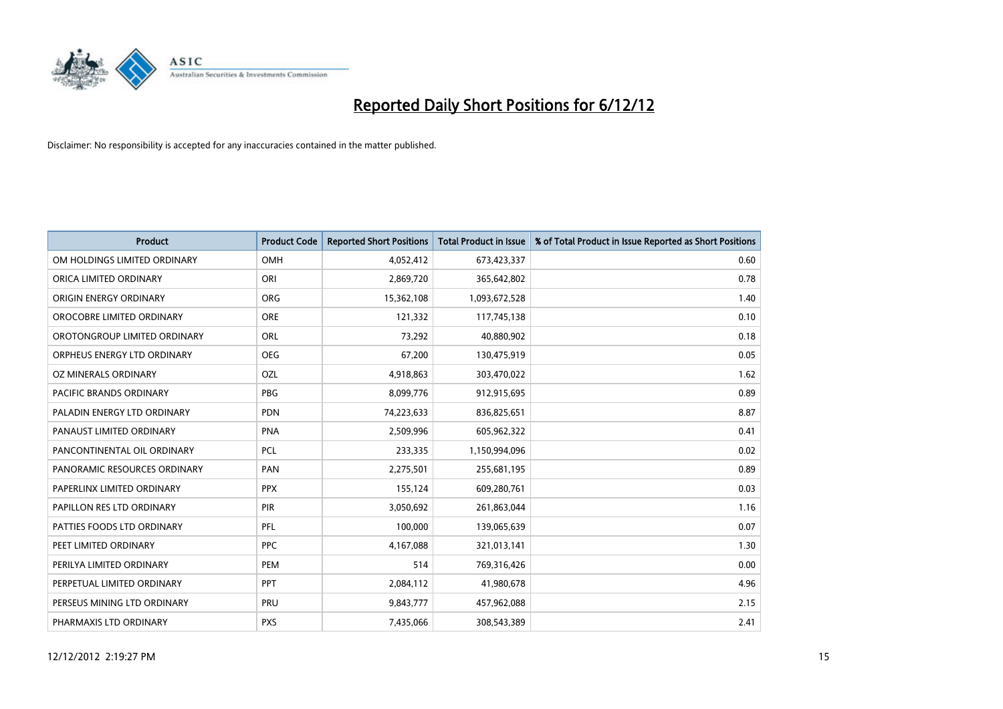

| <b>Product</b>               | <b>Product Code</b> | <b>Reported Short Positions</b> | <b>Total Product in Issue</b> | % of Total Product in Issue Reported as Short Positions |
|------------------------------|---------------------|---------------------------------|-------------------------------|---------------------------------------------------------|
| OM HOLDINGS LIMITED ORDINARY | <b>OMH</b>          | 4,052,412                       | 673,423,337                   | 0.60                                                    |
| ORICA LIMITED ORDINARY       | ORI                 | 2,869,720                       | 365,642,802                   | 0.78                                                    |
| ORIGIN ENERGY ORDINARY       | <b>ORG</b>          | 15,362,108                      | 1,093,672,528                 | 1.40                                                    |
| OROCOBRE LIMITED ORDINARY    | <b>ORE</b>          | 121,332                         | 117,745,138                   | 0.10                                                    |
| OROTONGROUP LIMITED ORDINARY | <b>ORL</b>          | 73,292                          | 40,880,902                    | 0.18                                                    |
| ORPHEUS ENERGY LTD ORDINARY  | <b>OEG</b>          | 67,200                          | 130,475,919                   | 0.05                                                    |
| OZ MINERALS ORDINARY         | OZL                 | 4,918,863                       | 303,470,022                   | 1.62                                                    |
| PACIFIC BRANDS ORDINARY      | <b>PBG</b>          | 8,099,776                       | 912,915,695                   | 0.89                                                    |
| PALADIN ENERGY LTD ORDINARY  | <b>PDN</b>          | 74,223,633                      | 836,825,651                   | 8.87                                                    |
| PANAUST LIMITED ORDINARY     | <b>PNA</b>          | 2,509,996                       | 605,962,322                   | 0.41                                                    |
| PANCONTINENTAL OIL ORDINARY  | <b>PCL</b>          | 233,335                         | 1,150,994,096                 | 0.02                                                    |
| PANORAMIC RESOURCES ORDINARY | PAN                 | 2,275,501                       | 255,681,195                   | 0.89                                                    |
| PAPERLINX LIMITED ORDINARY   | <b>PPX</b>          | 155,124                         | 609,280,761                   | 0.03                                                    |
| PAPILLON RES LTD ORDINARY    | <b>PIR</b>          | 3,050,692                       | 261,863,044                   | 1.16                                                    |
| PATTIES FOODS LTD ORDINARY   | PFL                 | 100,000                         | 139,065,639                   | 0.07                                                    |
| PEET LIMITED ORDINARY        | <b>PPC</b>          | 4,167,088                       | 321,013,141                   | 1.30                                                    |
| PERILYA LIMITED ORDINARY     | PEM                 | 514                             | 769,316,426                   | 0.00                                                    |
| PERPETUAL LIMITED ORDINARY   | <b>PPT</b>          | 2,084,112                       | 41,980,678                    | 4.96                                                    |
| PERSEUS MINING LTD ORDINARY  | PRU                 | 9,843,777                       | 457,962,088                   | 2.15                                                    |
| PHARMAXIS LTD ORDINARY       | <b>PXS</b>          | 7,435,066                       | 308,543,389                   | 2.41                                                    |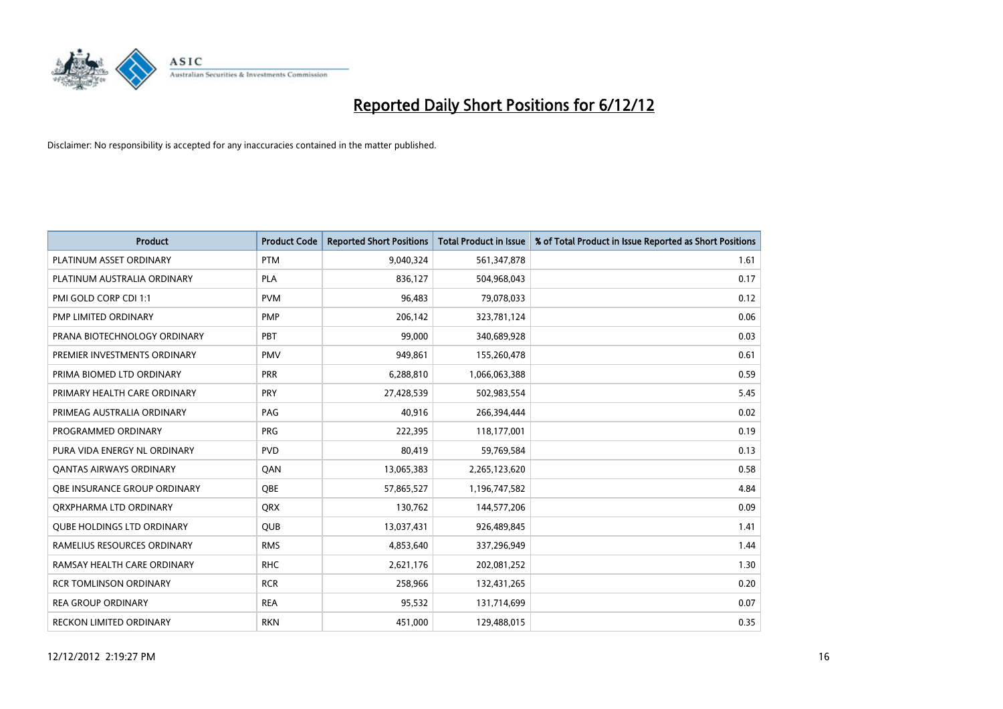

| <b>Product</b>                    | <b>Product Code</b> | <b>Reported Short Positions</b> | <b>Total Product in Issue</b> | % of Total Product in Issue Reported as Short Positions |
|-----------------------------------|---------------------|---------------------------------|-------------------------------|---------------------------------------------------------|
| PLATINUM ASSET ORDINARY           | <b>PTM</b>          | 9,040,324                       | 561,347,878                   | 1.61                                                    |
| PLATINUM AUSTRALIA ORDINARY       | <b>PLA</b>          | 836,127                         | 504,968,043                   | 0.17                                                    |
| PMI GOLD CORP CDI 1:1             | <b>PVM</b>          | 96,483                          | 79,078,033                    | 0.12                                                    |
| PMP LIMITED ORDINARY              | <b>PMP</b>          | 206,142                         | 323,781,124                   | 0.06                                                    |
| PRANA BIOTECHNOLOGY ORDINARY      | PBT                 | 99.000                          | 340,689,928                   | 0.03                                                    |
| PREMIER INVESTMENTS ORDINARY      | <b>PMV</b>          | 949,861                         | 155,260,478                   | 0.61                                                    |
| PRIMA BIOMED LTD ORDINARY         | <b>PRR</b>          | 6,288,810                       | 1,066,063,388                 | 0.59                                                    |
| PRIMARY HEALTH CARE ORDINARY      | PRY                 | 27,428,539                      | 502,983,554                   | 5.45                                                    |
| PRIMEAG AUSTRALIA ORDINARY        | PAG                 | 40,916                          | 266,394,444                   | 0.02                                                    |
| PROGRAMMED ORDINARY               | <b>PRG</b>          | 222,395                         | 118,177,001                   | 0.19                                                    |
| PURA VIDA ENERGY NL ORDINARY      | <b>PVD</b>          | 80,419                          | 59,769,584                    | 0.13                                                    |
| <b>QANTAS AIRWAYS ORDINARY</b>    | QAN                 | 13,065,383                      | 2,265,123,620                 | 0.58                                                    |
| OBE INSURANCE GROUP ORDINARY      | <b>OBE</b>          | 57,865,527                      | 1,196,747,582                 | 4.84                                                    |
| ORXPHARMA LTD ORDINARY            | <b>ORX</b>          | 130.762                         | 144,577,206                   | 0.09                                                    |
| <b>QUBE HOLDINGS LTD ORDINARY</b> | <b>QUB</b>          | 13,037,431                      | 926,489,845                   | 1.41                                                    |
| RAMELIUS RESOURCES ORDINARY       | <b>RMS</b>          | 4,853,640                       | 337,296,949                   | 1.44                                                    |
| RAMSAY HEALTH CARE ORDINARY       | <b>RHC</b>          | 2,621,176                       | 202,081,252                   | 1.30                                                    |
| <b>RCR TOMLINSON ORDINARY</b>     | <b>RCR</b>          | 258,966                         | 132,431,265                   | 0.20                                                    |
| <b>REA GROUP ORDINARY</b>         | <b>REA</b>          | 95,532                          | 131,714,699                   | 0.07                                                    |
| <b>RECKON LIMITED ORDINARY</b>    | <b>RKN</b>          | 451,000                         | 129,488,015                   | 0.35                                                    |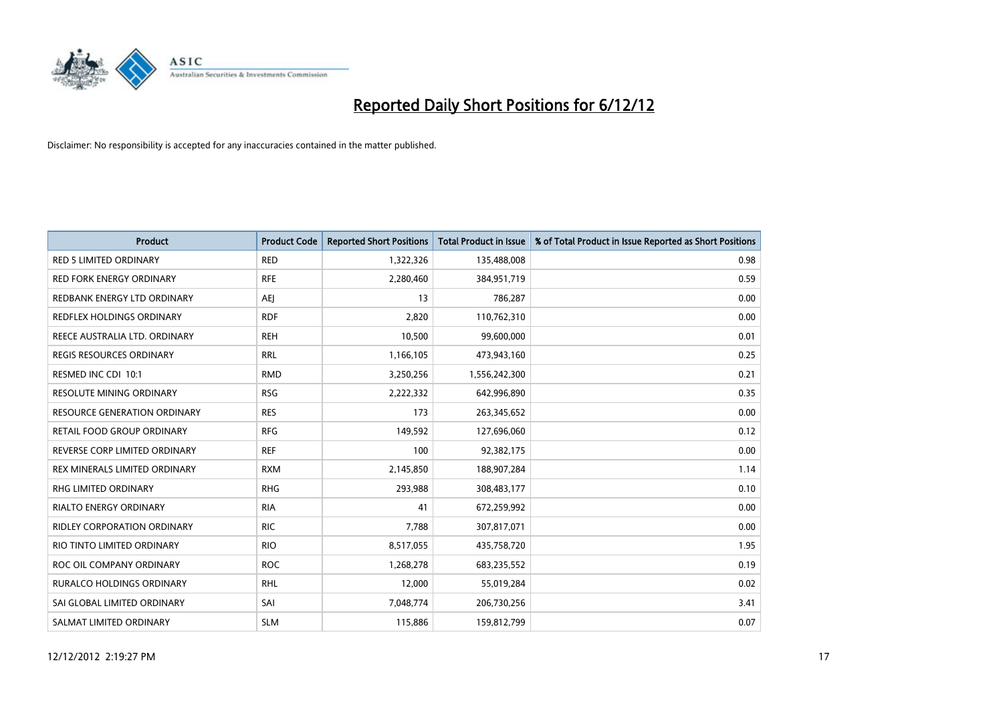

| <b>Product</b>                     | <b>Product Code</b> | <b>Reported Short Positions</b> | <b>Total Product in Issue</b> | % of Total Product in Issue Reported as Short Positions |
|------------------------------------|---------------------|---------------------------------|-------------------------------|---------------------------------------------------------|
| <b>RED 5 LIMITED ORDINARY</b>      | <b>RED</b>          | 1,322,326                       | 135,488,008                   | 0.98                                                    |
| RED FORK ENERGY ORDINARY           | <b>RFE</b>          | 2,280,460                       | 384,951,719                   | 0.59                                                    |
| REDBANK ENERGY LTD ORDINARY        | AEJ                 | 13                              | 786,287                       | 0.00                                                    |
| REDFLEX HOLDINGS ORDINARY          | <b>RDF</b>          | 2,820                           | 110,762,310                   | 0.00                                                    |
| REECE AUSTRALIA LTD. ORDINARY      | <b>REH</b>          | 10,500                          | 99,600,000                    | 0.01                                                    |
| <b>REGIS RESOURCES ORDINARY</b>    | <b>RRL</b>          | 1,166,105                       | 473,943,160                   | 0.25                                                    |
| RESMED INC CDI 10:1                | <b>RMD</b>          | 3,250,256                       | 1,556,242,300                 | 0.21                                                    |
| RESOLUTE MINING ORDINARY           | <b>RSG</b>          | 2,222,332                       | 642,996,890                   | 0.35                                                    |
| RESOURCE GENERATION ORDINARY       | <b>RES</b>          | 173                             | 263,345,652                   | 0.00                                                    |
| RETAIL FOOD GROUP ORDINARY         | <b>RFG</b>          | 149,592                         | 127,696,060                   | 0.12                                                    |
| REVERSE CORP LIMITED ORDINARY      | <b>REF</b>          | 100                             | 92,382,175                    | 0.00                                                    |
| REX MINERALS LIMITED ORDINARY      | <b>RXM</b>          | 2,145,850                       | 188,907,284                   | 1.14                                                    |
| <b>RHG LIMITED ORDINARY</b>        | <b>RHG</b>          | 293,988                         | 308,483,177                   | 0.10                                                    |
| <b>RIALTO ENERGY ORDINARY</b>      | <b>RIA</b>          | 41                              | 672,259,992                   | 0.00                                                    |
| <b>RIDLEY CORPORATION ORDINARY</b> | <b>RIC</b>          | 7,788                           | 307,817,071                   | 0.00                                                    |
| RIO TINTO LIMITED ORDINARY         | <b>RIO</b>          | 8,517,055                       | 435,758,720                   | 1.95                                                    |
| ROC OIL COMPANY ORDINARY           | <b>ROC</b>          | 1,268,278                       | 683,235,552                   | 0.19                                                    |
| RURALCO HOLDINGS ORDINARY          | <b>RHL</b>          | 12,000                          | 55,019,284                    | 0.02                                                    |
| SAI GLOBAL LIMITED ORDINARY        | SAI                 | 7,048,774                       | 206,730,256                   | 3.41                                                    |
| SALMAT LIMITED ORDINARY            | <b>SLM</b>          | 115,886                         | 159,812,799                   | 0.07                                                    |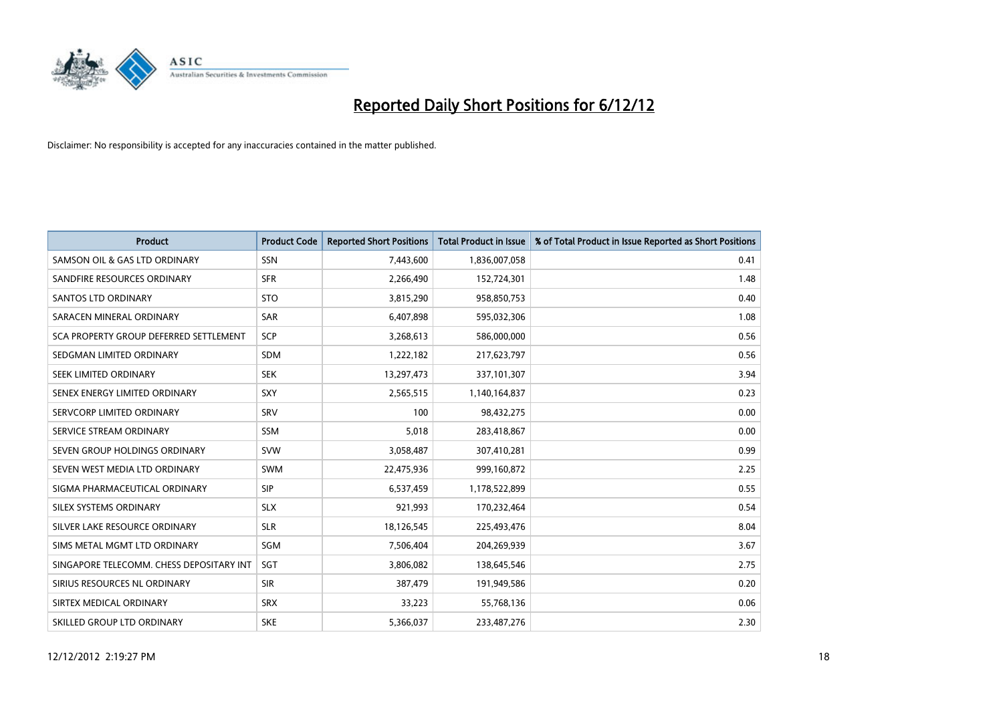

| <b>Product</b>                           | <b>Product Code</b> | <b>Reported Short Positions</b> | <b>Total Product in Issue</b> | % of Total Product in Issue Reported as Short Positions |
|------------------------------------------|---------------------|---------------------------------|-------------------------------|---------------------------------------------------------|
| SAMSON OIL & GAS LTD ORDINARY            | <b>SSN</b>          | 7,443,600                       | 1,836,007,058                 | 0.41                                                    |
| SANDFIRE RESOURCES ORDINARY              | <b>SFR</b>          | 2,266,490                       | 152,724,301                   | 1.48                                                    |
| <b>SANTOS LTD ORDINARY</b>               | <b>STO</b>          | 3,815,290                       | 958,850,753                   | 0.40                                                    |
| SARACEN MINERAL ORDINARY                 | SAR                 | 6,407,898                       | 595,032,306                   | 1.08                                                    |
| SCA PROPERTY GROUP DEFERRED SETTLEMENT   | <b>SCP</b>          | 3,268,613                       | 586,000,000                   | 0.56                                                    |
| SEDGMAN LIMITED ORDINARY                 | <b>SDM</b>          | 1,222,182                       | 217,623,797                   | 0.56                                                    |
| SEEK LIMITED ORDINARY                    | <b>SEK</b>          | 13,297,473                      | 337,101,307                   | 3.94                                                    |
| SENEX ENERGY LIMITED ORDINARY            | <b>SXY</b>          | 2,565,515                       | 1,140,164,837                 | 0.23                                                    |
| SERVCORP LIMITED ORDINARY                | SRV                 | 100                             | 98,432,275                    | 0.00                                                    |
| SERVICE STREAM ORDINARY                  | <b>SSM</b>          | 5,018                           | 283,418,867                   | 0.00                                                    |
| SEVEN GROUP HOLDINGS ORDINARY            | <b>SVW</b>          | 3,058,487                       | 307,410,281                   | 0.99                                                    |
| SEVEN WEST MEDIA LTD ORDINARY            | <b>SWM</b>          | 22,475,936                      | 999,160,872                   | 2.25                                                    |
| SIGMA PHARMACEUTICAL ORDINARY            | <b>SIP</b>          | 6,537,459                       | 1,178,522,899                 | 0.55                                                    |
| SILEX SYSTEMS ORDINARY                   | <b>SLX</b>          | 921,993                         | 170,232,464                   | 0.54                                                    |
| SILVER LAKE RESOURCE ORDINARY            | <b>SLR</b>          | 18,126,545                      | 225,493,476                   | 8.04                                                    |
| SIMS METAL MGMT LTD ORDINARY             | SGM                 | 7,506,404                       | 204,269,939                   | 3.67                                                    |
| SINGAPORE TELECOMM. CHESS DEPOSITARY INT | SGT                 | 3,806,082                       | 138,645,546                   | 2.75                                                    |
| SIRIUS RESOURCES NL ORDINARY             | <b>SIR</b>          | 387,479                         | 191,949,586                   | 0.20                                                    |
| SIRTEX MEDICAL ORDINARY                  | <b>SRX</b>          | 33,223                          | 55,768,136                    | 0.06                                                    |
| SKILLED GROUP LTD ORDINARY               | <b>SKE</b>          | 5,366,037                       | 233,487,276                   | 2.30                                                    |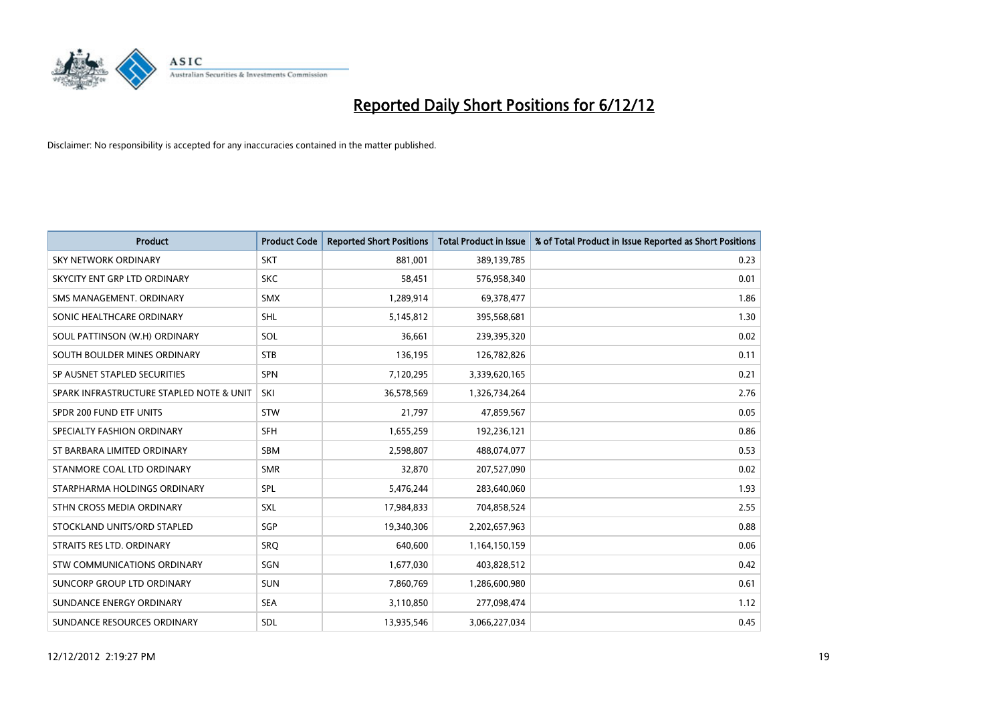

| <b>Product</b>                           | <b>Product Code</b> | <b>Reported Short Positions</b> | <b>Total Product in Issue</b> | % of Total Product in Issue Reported as Short Positions |
|------------------------------------------|---------------------|---------------------------------|-------------------------------|---------------------------------------------------------|
| SKY NETWORK ORDINARY                     | <b>SKT</b>          | 881,001                         | 389,139,785                   | 0.23                                                    |
| SKYCITY ENT GRP LTD ORDINARY             | <b>SKC</b>          | 58,451                          | 576,958,340                   | 0.01                                                    |
| SMS MANAGEMENT, ORDINARY                 | <b>SMX</b>          | 1,289,914                       | 69,378,477                    | 1.86                                                    |
| SONIC HEALTHCARE ORDINARY                | SHL                 | 5,145,812                       | 395,568,681                   | 1.30                                                    |
| SOUL PATTINSON (W.H) ORDINARY            | SOL                 | 36.661                          | 239,395,320                   | 0.02                                                    |
| SOUTH BOULDER MINES ORDINARY             | <b>STB</b>          | 136,195                         | 126,782,826                   | 0.11                                                    |
| SP AUSNET STAPLED SECURITIES             | <b>SPN</b>          | 7,120,295                       | 3,339,620,165                 | 0.21                                                    |
| SPARK INFRASTRUCTURE STAPLED NOTE & UNIT | SKI                 | 36,578,569                      | 1,326,734,264                 | 2.76                                                    |
| SPDR 200 FUND ETF UNITS                  | <b>STW</b>          | 21,797                          | 47,859,567                    | 0.05                                                    |
| SPECIALTY FASHION ORDINARY               | <b>SFH</b>          | 1,655,259                       | 192,236,121                   | 0.86                                                    |
| ST BARBARA LIMITED ORDINARY              | <b>SBM</b>          | 2,598,807                       | 488,074,077                   | 0.53                                                    |
| STANMORE COAL LTD ORDINARY               | <b>SMR</b>          | 32,870                          | 207,527,090                   | 0.02                                                    |
| STARPHARMA HOLDINGS ORDINARY             | SPL                 | 5,476,244                       | 283,640,060                   | 1.93                                                    |
| STHN CROSS MEDIA ORDINARY                | <b>SXL</b>          | 17,984,833                      | 704,858,524                   | 2.55                                                    |
| STOCKLAND UNITS/ORD STAPLED              | SGP                 | 19,340,306                      | 2,202,657,963                 | 0.88                                                    |
| STRAITS RES LTD. ORDINARY                | SRO                 | 640.600                         | 1,164,150,159                 | 0.06                                                    |
| STW COMMUNICATIONS ORDINARY              | SGN                 | 1,677,030                       | 403,828,512                   | 0.42                                                    |
| SUNCORP GROUP LTD ORDINARY               | <b>SUN</b>          | 7,860,769                       | 1,286,600,980                 | 0.61                                                    |
| SUNDANCE ENERGY ORDINARY                 | <b>SEA</b>          | 3,110,850                       | 277,098,474                   | 1.12                                                    |
| SUNDANCE RESOURCES ORDINARY              | <b>SDL</b>          | 13,935,546                      | 3,066,227,034                 | 0.45                                                    |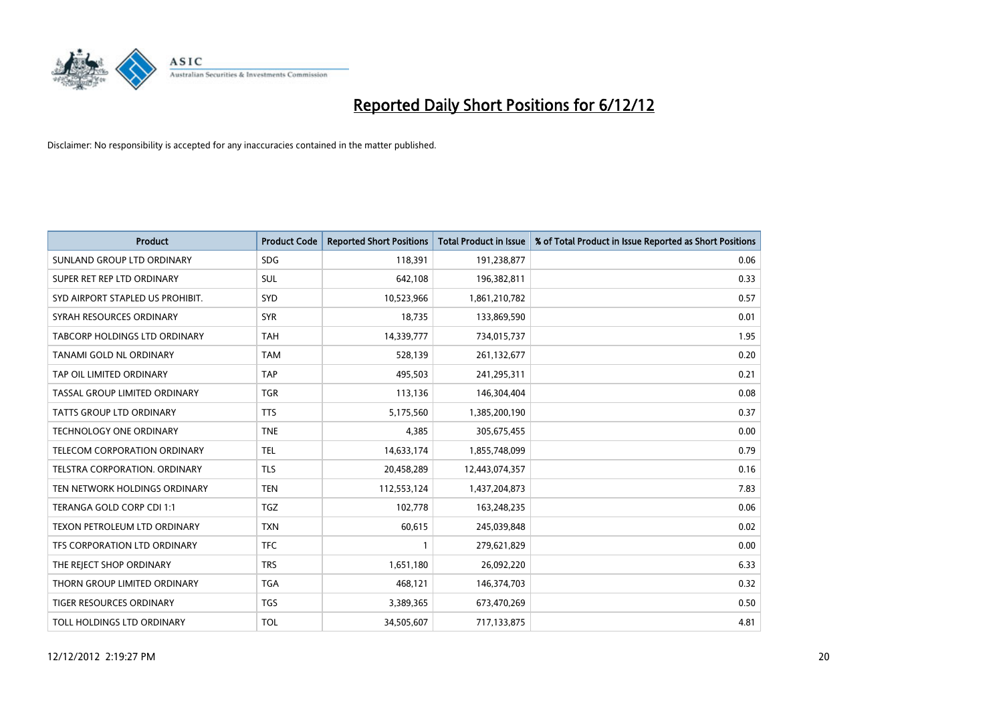

| <b>Product</b>                       | <b>Product Code</b> | <b>Reported Short Positions</b> | <b>Total Product in Issue</b> | % of Total Product in Issue Reported as Short Positions |
|--------------------------------------|---------------------|---------------------------------|-------------------------------|---------------------------------------------------------|
| SUNLAND GROUP LTD ORDINARY           | <b>SDG</b>          | 118,391                         | 191,238,877                   | 0.06                                                    |
| SUPER RET REP LTD ORDINARY           | SUL                 | 642,108                         | 196,382,811                   | 0.33                                                    |
| SYD AIRPORT STAPLED US PROHIBIT.     | <b>SYD</b>          | 10,523,966                      | 1,861,210,782                 | 0.57                                                    |
| SYRAH RESOURCES ORDINARY             | <b>SYR</b>          | 18,735                          | 133,869,590                   | 0.01                                                    |
| TABCORP HOLDINGS LTD ORDINARY        | <b>TAH</b>          | 14,339,777                      | 734,015,737                   | 1.95                                                    |
| TANAMI GOLD NL ORDINARY              | <b>TAM</b>          | 528,139                         | 261,132,677                   | 0.20                                                    |
| TAP OIL LIMITED ORDINARY             | <b>TAP</b>          | 495.503                         | 241,295,311                   | 0.21                                                    |
| TASSAL GROUP LIMITED ORDINARY        | <b>TGR</b>          | 113,136                         | 146,304,404                   | 0.08                                                    |
| TATTS GROUP LTD ORDINARY             | <b>TTS</b>          | 5,175,560                       | 1,385,200,190                 | 0.37                                                    |
| <b>TECHNOLOGY ONE ORDINARY</b>       | <b>TNE</b>          | 4,385                           | 305,675,455                   | 0.00                                                    |
| TELECOM CORPORATION ORDINARY         | <b>TEL</b>          | 14,633,174                      | 1,855,748,099                 | 0.79                                                    |
| <b>TELSTRA CORPORATION, ORDINARY</b> | <b>TLS</b>          | 20,458,289                      | 12,443,074,357                | 0.16                                                    |
| TEN NETWORK HOLDINGS ORDINARY        | <b>TEN</b>          | 112,553,124                     | 1,437,204,873                 | 7.83                                                    |
| TERANGA GOLD CORP CDI 1:1            | <b>TGZ</b>          | 102,778                         | 163,248,235                   | 0.06                                                    |
| TEXON PETROLEUM LTD ORDINARY         | <b>TXN</b>          | 60,615                          | 245,039,848                   | 0.02                                                    |
| TFS CORPORATION LTD ORDINARY         | <b>TFC</b>          |                                 | 279,621,829                   | 0.00                                                    |
| THE REJECT SHOP ORDINARY             | <b>TRS</b>          | 1,651,180                       | 26,092,220                    | 6.33                                                    |
| THORN GROUP LIMITED ORDINARY         | <b>TGA</b>          | 468,121                         | 146,374,703                   | 0.32                                                    |
| <b>TIGER RESOURCES ORDINARY</b>      | <b>TGS</b>          | 3,389,365                       | 673,470,269                   | 0.50                                                    |
| TOLL HOLDINGS LTD ORDINARY           | <b>TOL</b>          | 34,505,607                      | 717,133,875                   | 4.81                                                    |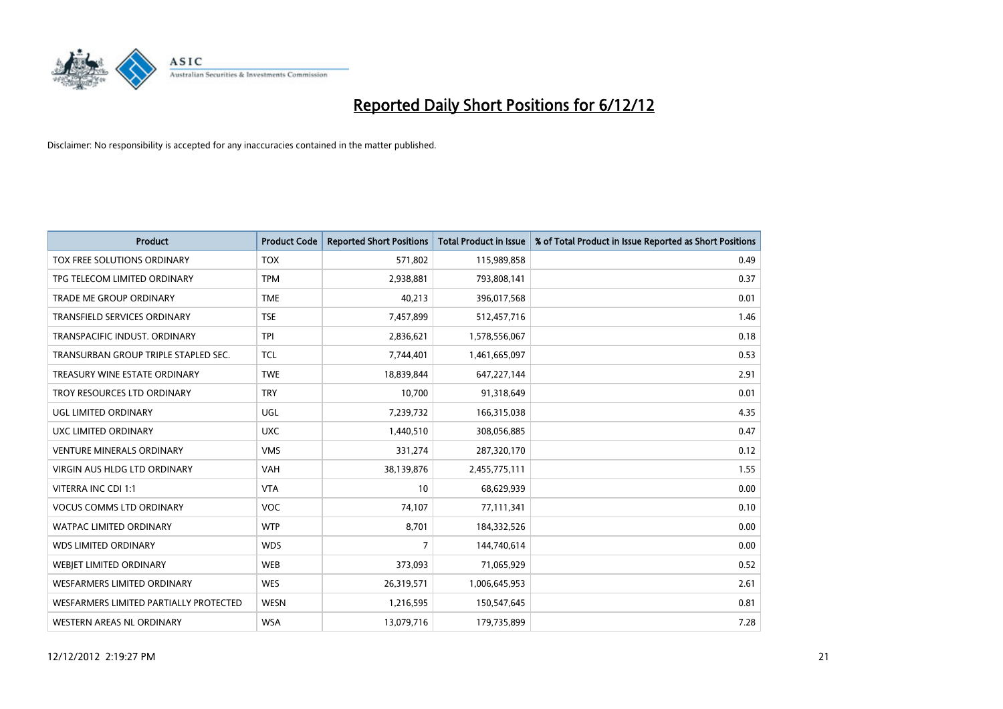

| <b>Product</b>                         | <b>Product Code</b> | <b>Reported Short Positions</b> | <b>Total Product in Issue</b> | % of Total Product in Issue Reported as Short Positions |
|----------------------------------------|---------------------|---------------------------------|-------------------------------|---------------------------------------------------------|
| TOX FREE SOLUTIONS ORDINARY            | <b>TOX</b>          | 571,802                         | 115,989,858                   | 0.49                                                    |
| TPG TELECOM LIMITED ORDINARY           | <b>TPM</b>          | 2,938,881                       | 793,808,141                   | 0.37                                                    |
| <b>TRADE ME GROUP ORDINARY</b>         | <b>TME</b>          | 40,213                          | 396,017,568                   | 0.01                                                    |
| TRANSFIELD SERVICES ORDINARY           | <b>TSE</b>          | 7,457,899                       | 512,457,716                   | 1.46                                                    |
| TRANSPACIFIC INDUST, ORDINARY          | <b>TPI</b>          | 2,836,621                       | 1,578,556,067                 | 0.18                                                    |
| TRANSURBAN GROUP TRIPLE STAPLED SEC.   | <b>TCL</b>          | 7,744,401                       | 1,461,665,097                 | 0.53                                                    |
| TREASURY WINE ESTATE ORDINARY          | <b>TWE</b>          | 18,839,844                      | 647,227,144                   | 2.91                                                    |
| TROY RESOURCES LTD ORDINARY            | <b>TRY</b>          | 10,700                          | 91,318,649                    | 0.01                                                    |
| <b>UGL LIMITED ORDINARY</b>            | UGL                 | 7,239,732                       | 166,315,038                   | 4.35                                                    |
| UXC LIMITED ORDINARY                   | <b>UXC</b>          | 1,440,510                       | 308,056,885                   | 0.47                                                    |
| <b>VENTURE MINERALS ORDINARY</b>       | <b>VMS</b>          | 331,274                         | 287,320,170                   | 0.12                                                    |
| <b>VIRGIN AUS HLDG LTD ORDINARY</b>    | <b>VAH</b>          | 38,139,876                      | 2,455,775,111                 | 1.55                                                    |
| VITERRA INC CDI 1:1                    | <b>VTA</b>          | 10                              | 68,629,939                    | 0.00                                                    |
| <b>VOCUS COMMS LTD ORDINARY</b>        | <b>VOC</b>          | 74,107                          | 77,111,341                    | 0.10                                                    |
| <b>WATPAC LIMITED ORDINARY</b>         | <b>WTP</b>          | 8,701                           | 184,332,526                   | 0.00                                                    |
| <b>WDS LIMITED ORDINARY</b>            | <b>WDS</b>          | 7                               | 144,740,614                   | 0.00                                                    |
| WEBIET LIMITED ORDINARY                | <b>WEB</b>          | 373,093                         | 71,065,929                    | 0.52                                                    |
| <b>WESFARMERS LIMITED ORDINARY</b>     | <b>WES</b>          | 26,319,571                      | 1,006,645,953                 | 2.61                                                    |
| WESFARMERS LIMITED PARTIALLY PROTECTED | <b>WESN</b>         | 1,216,595                       | 150,547,645                   | 0.81                                                    |
| WESTERN AREAS NL ORDINARY              | <b>WSA</b>          | 13,079,716                      | 179,735,899                   | 7.28                                                    |